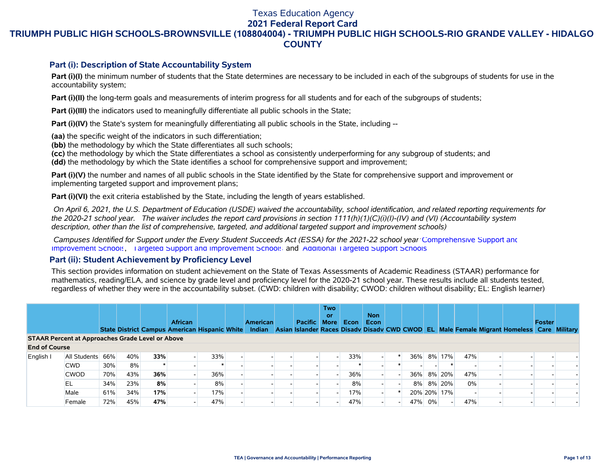# Texas Education Agency

**2021 Federal Report Card**

# **TRIUMPH PUBLIC HIGH SCHOOLS-BROWNSVILLE (108804004) - TRIUMPH PUBLIC HIGH SCHOOLS-RIO GRANDE VALLEY - HIDALGO COUNTY**

### **Part (i): Description of State Accountability System**

Part (i)(I) the minimum number of students that the State determines are necessary to be included in each of the subgroups of students for use in the accountability system;

**Part (i)(II)** the long-term goals and measurements of interim progress for all students and for each of the subgroups of students;

**Part (i)(III)** the indicators used to meaningfully differentiate all public schools in the State;

**Part (i)(IV)** the State's system for meaningfully differentiating all public schools in the State, including --

**(aa)** the specific weight of the indicators in such differentiation;

**(bb)** the methodology by which the State differentiates all such schools;

**(cc)** the methodology by which the State differentiates a school as consistently underperforming for any subgroup of students; and **(dd)** the methodology by which the State identifies a school for comprehensive support and improvement;

**Part (i)(V)** the number and names of all public schools in the State identified by the State for comprehensive support and improvement or implementing targeted support and improvement plans;

**Part (i)(VI)** the exit criteria established by the State, including the length of years established.

 *On April 6, 2021, the U.S. Department of Education (USDE) waived the accountability, school identification, and related reporting requirements for the 2020-21 school year. The waiver includes the report card provisions in section 1111(h)(1)(C)(i)(I)-(IV) and (VI) (Accountability system description, other than the list of comprehensive, targeted, and additional targeted support and improvement schools)* 

 *Campuses Identified for Support under the Every Student Succeeds Act (ESSA) for the 2021-22 school year:* [Comprehensive Support and](https://tea.texas.gov/sites/default/files/comprehensive_support_2021.xlsx) [Improvement Schools](https://tea.texas.gov/sites/default/files/comprehensive_support_2021.xlsx), [Targeted Support and Improvement Schools](https://tea.texas.gov/sites/default/files/targeted_support_2021.xlsx) and [Additional Targeted Support Schools.](https://tea.texas.gov/sites/default/files/additional_targeted_support_2021.xlsx)

### **Part (ii): Student Achievement by Proficiency Level**

This section provides information on student achievement on the State of Texas Assessments of Academic Readiness (STAAR) performance for mathematics, reading/ELA, and science by grade level and proficiency level for the 2020-21 school year. These results include all students tested, regardless of whether they were in the accountability subset. (CWD: children with disability; CWOD: children without disability; EL: English learner)

|                                                         |                  |     |     |     | <b>African</b><br><b>State District Campus American Hispanic White</b> |     | <b>American</b><br>Indian | <b>Pacific</b> | <b>Two</b><br>or<br><b>More</b> | <b>Econ</b> | <b>Non</b><br>Econ |     |    |                          |       | Asian Islander Races Disady Disady CWD CWOD EL Male Female Migrant Homeless Care Military | Foster |  |
|---------------------------------------------------------|------------------|-----|-----|-----|------------------------------------------------------------------------|-----|---------------------------|----------------|---------------------------------|-------------|--------------------|-----|----|--------------------------|-------|-------------------------------------------------------------------------------------------|--------|--|
| <b>STAAR Percent at Approaches Grade Level or Above</b> |                  |     |     |     |                                                                        |     |                           |                |                                 |             |                    |     |    |                          |       |                                                                                           |        |  |
| <b>End of Course</b>                                    |                  |     |     |     |                                                                        |     |                           |                |                                 |             |                    |     |    |                          |       |                                                                                           |        |  |
| English I                                               | All Students 66% |     | 40% | 33% |                                                                        | 33% |                           |                |                                 | 33%         |                    | 36% |    | 8% 17%                   | 47%   |                                                                                           |        |  |
|                                                         | <b>CWD</b>       | 30% | 8%  |     |                                                                        |     |                           |                |                                 |             |                    |     |    |                          |       |                                                                                           |        |  |
|                                                         | <b>CWOD</b>      | 70% | 43% | 36% |                                                                        | 36% |                           |                |                                 | 36%         |                    | 36% |    | 8% 20%                   | 47%   |                                                                                           |        |  |
|                                                         | EL               | 34% | 23% | 8%  |                                                                        | 8%  |                           |                |                                 | 8%          |                    | 8%  |    | 8% 20%                   | $0\%$ |                                                                                           |        |  |
|                                                         | Male             | 61% | 34% | 17% |                                                                        | 17% |                           |                |                                 | 17%         |                    |     |    | 20% 20% 17%              |       |                                                                                           |        |  |
|                                                         | Female           | 72% | 45% | 47% |                                                                        | 47% |                           |                |                                 | 47%         |                    | 47% | 0% | $\overline{\phantom{a}}$ | 47%   |                                                                                           |        |  |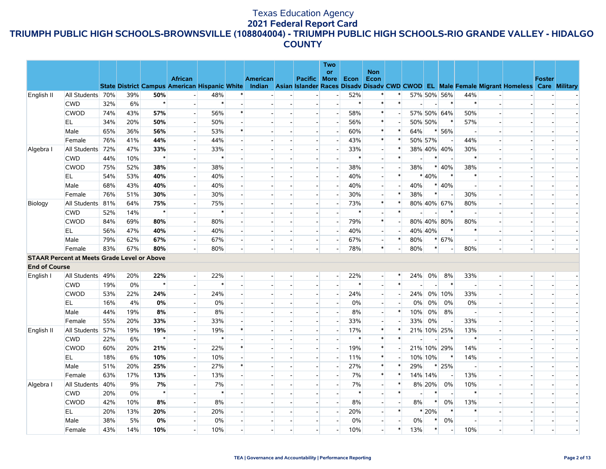|                      |                                                    |     |     |         |                                                                        |        |        |          |                          | Two                      |        |                          |                          |         |                          |                          |                          |                          |                                                                                                  |               |  |
|----------------------|----------------------------------------------------|-----|-----|---------|------------------------------------------------------------------------|--------|--------|----------|--------------------------|--------------------------|--------|--------------------------|--------------------------|---------|--------------------------|--------------------------|--------------------------|--------------------------|--------------------------------------------------------------------------------------------------|---------------|--|
|                      |                                                    |     |     |         |                                                                        |        |        |          |                          | <b>or</b>                |        | <b>Non</b>               |                          |         |                          |                          |                          |                          |                                                                                                  |               |  |
|                      |                                                    |     |     |         | <b>African</b><br><b>State District Campus American Hispanic White</b> |        |        | American | <b>Pacific More</b>      |                          | Econ   | Econ                     |                          |         |                          |                          |                          |                          | Indian Asian Islander Races Disady Disady CWD CWOD EL Male Female Migrant Homeless Care Military | <b>Foster</b> |  |
| English II           | All Students 70%                                   |     | 39% | 50%     |                                                                        | 48%    | ∗      |          |                          |                          | 52%    | ∗                        |                          |         |                          | 57% 50% 56%              | 44%                      |                          |                                                                                                  |               |  |
|                      | <b>CWD</b>                                         | 32% | 6%  | $\star$ |                                                                        | $\ast$ |        |          | $\overline{\phantom{a}}$ | $\overline{a}$           | $\ast$ | $\ast$                   | $\ast$                   |         | $\overline{\phantom{a}}$ | $\ast$                   | $\ast$                   | $\sim$                   |                                                                                                  |               |  |
|                      | <b>CWOD</b>                                        | 74% | 43% | 57%     | $\overline{a}$                                                         | 56%    | $\ast$ |          | $\sim$                   | $\blacksquare$           | 58%    | $\ast$                   |                          |         |                          | 57% 50% 64%              | 50%                      |                          |                                                                                                  |               |  |
|                      | EL                                                 | 34% | 20% | 50%     | $\sim$                                                                 | 50%    |        |          | $\overline{\phantom{a}}$ | $\overline{a}$           | 56%    | $\ast$                   | $\overline{a}$           | 50% 50% |                          | $\ast$                   | 57%                      |                          |                                                                                                  |               |  |
|                      | Male                                               | 65% | 36% | 56%     | $\overline{a}$                                                         | 53%    | $\ast$ |          | $\blacksquare$           | $\overline{a}$           | 60%    | $\ast$                   | $\ast$                   | 64%     |                          | * 56%                    | $\overline{\phantom{a}}$ |                          |                                                                                                  |               |  |
|                      | Female                                             | 76% | 41% | 44%     |                                                                        | 44%    |        |          |                          |                          | 43%    | $\ast$                   | $\ast$                   | 50% 57% |                          |                          | 44%                      |                          |                                                                                                  |               |  |
| Algebra I            | All Students                                       | 72% | 47% | 33%     |                                                                        | 33%    |        |          | $\sim$                   | $\overline{a}$           | 33%    | $\overline{\phantom{a}}$ | $\ast$                   |         |                          | 38% 40% 40%              | 30%                      |                          |                                                                                                  |               |  |
|                      | <b>CWD</b>                                         | 44% | 10% | $\star$ |                                                                        | $\ast$ |        |          |                          |                          | $\ast$ | $\overline{\phantom{a}}$ | $\ast$                   |         | $\ast$                   |                          | $\ast$                   |                          |                                                                                                  |               |  |
|                      | <b>CWOD</b>                                        | 75% | 52% | 38%     |                                                                        | 38%    |        |          |                          |                          | 38%    | $\overline{\phantom{a}}$ |                          | 38%     |                          | $* 40%$                  | 38%                      |                          |                                                                                                  |               |  |
|                      | EL.                                                | 54% | 53% | 40%     | $\overline{\phantom{a}}$                                               | 40%    |        |          | $\overline{\phantom{a}}$ | $\sim$                   | 40%    | $\overline{\phantom{a}}$ | $\ast$                   |         | * 40%                    | $\ast$                   | $\ast$                   |                          |                                                                                                  |               |  |
|                      | Male                                               | 68% | 43% | 40%     |                                                                        | 40%    |        |          |                          |                          | 40%    | $\overline{\phantom{a}}$ |                          | 40%     |                          | $* 40%$                  | $\overline{a}$           |                          |                                                                                                  |               |  |
|                      | Female                                             | 76% | 51% | 30%     | $\overline{a}$                                                         | 30%    |        |          | $\sim$                   | $\overline{a}$           | 30%    | $\blacksquare$           | $\ast$                   | 38%     | $\ast$                   | $\overline{a}$           | 30%                      | $\overline{\phantom{a}}$ |                                                                                                  |               |  |
| Biology              | All Students                                       | 81% | 64% | 75%     |                                                                        | 75%    |        |          |                          |                          | 73%    | $\ast$                   | $\ast$                   |         |                          | 80% 40% 67%              | 80%                      |                          |                                                                                                  |               |  |
|                      | <b>CWD</b>                                         | 52% | 14% | $\star$ |                                                                        | $\ast$ |        |          |                          |                          | $\ast$ | $\blacksquare$           | $\ast$                   |         |                          | $\ast$                   | $\overline{\phantom{a}}$ |                          |                                                                                                  |               |  |
|                      | <b>CWOD</b>                                        | 84% | 69% | 80%     | $\overline{\phantom{a}}$                                               | 80%    |        |          | $\sim$                   | $\blacksquare$           | 79%    | $\ast$                   | $\blacksquare$           |         |                          | 80% 40% 80%              | 80%                      |                          |                                                                                                  |               |  |
|                      | EL                                                 | 56% | 47% | 40%     |                                                                        | 40%    |        |          | $\sim$                   | $\overline{a}$           | 40%    | $\overline{\phantom{a}}$ |                          | 40% 40% |                          | $\ast$                   | $\ast$                   |                          |                                                                                                  |               |  |
|                      | Male                                               | 79% | 62% | 67%     | $\sim$                                                                 | 67%    |        |          | $\overline{\phantom{a}}$ | $\overline{\phantom{a}}$ | 67%    | $\overline{\phantom{a}}$ | $\ast$                   | 80%     |                          | $* 67%$                  | $\overline{\phantom{a}}$ |                          |                                                                                                  |               |  |
|                      | Female                                             | 83% | 67% | 80%     |                                                                        | 80%    |        |          |                          |                          | 78%    | $\ast$                   |                          | 80%     | $\ast$                   |                          | 80%                      |                          |                                                                                                  |               |  |
|                      | <b>STAAR Percent at Meets Grade Level or Above</b> |     |     |         |                                                                        |        |        |          |                          |                          |        |                          |                          |         |                          |                          |                          |                          |                                                                                                  |               |  |
| <b>End of Course</b> |                                                    |     |     |         |                                                                        |        |        |          |                          |                          |        |                          |                          |         |                          |                          |                          |                          |                                                                                                  |               |  |
| English I            | All Students 49%                                   |     | 20% | 22%     | $\overline{a}$                                                         | 22%    |        |          |                          | $\overline{\phantom{a}}$ | 22%    | $\overline{\phantom{a}}$ | $\ast$                   | 24%     | $0\%$                    | 8%                       | 33%                      |                          |                                                                                                  |               |  |
|                      | <b>CWD</b>                                         | 19% | 0%  | $\star$ |                                                                        | $\ast$ |        |          |                          |                          | $\ast$ | $\overline{a}$           | $\ast$                   |         |                          | $\ast$                   | $\overline{a}$           |                          |                                                                                                  |               |  |
|                      | <b>CWOD</b>                                        | 53% | 22% | 24%     | $\overline{a}$                                                         | 24%    |        |          |                          | $\blacksquare$           | 24%    | $\overline{\phantom{a}}$ |                          | 24%     |                          | 0% 10%                   | 33%                      |                          |                                                                                                  |               |  |
|                      | EL.                                                | 16% | 4%  | 0%      |                                                                        | 0%     |        |          |                          |                          | 0%     | $\overline{\phantom{a}}$ |                          | 0%      | 0%                       | 0%                       | 0%                       |                          |                                                                                                  |               |  |
|                      | Male                                               | 44% | 19% | 8%      | $\overline{\phantom{a}}$                                               | 8%     |        |          | $\overline{\phantom{a}}$ | $\overline{a}$           | 8%     | $\overline{\phantom{a}}$ | $\ast$                   | 10%     | $0\%$                    | 8%                       | $\overline{\phantom{a}}$ |                          |                                                                                                  |               |  |
|                      | Female                                             | 55% | 20% | 33%     |                                                                        | 33%    |        |          |                          |                          | 33%    | $\overline{\phantom{a}}$ |                          | 33%     | 0%                       |                          | 33%                      |                          |                                                                                                  |               |  |
| English II           | All Students                                       | 57% | 19% | 19%     |                                                                        | 19%    | $\ast$ |          | $\mathbf{u}^{(1)}$       | $\overline{a}$           | 17%    | $\ast$                   | $\ast$                   |         |                          | 21% 10% 25%              | 13%                      |                          |                                                                                                  |               |  |
|                      | <b>CWD</b>                                         | 22% | 6%  | $\star$ |                                                                        | $\ast$ |        |          | $\overline{\phantom{a}}$ |                          | $\ast$ | $\ast$                   | $\ast$                   |         |                          | $\ast$                   | $\ast$                   | $\overline{\phantom{a}}$ |                                                                                                  |               |  |
|                      | <b>CWOD</b>                                        | 60% | 20% | 21%     |                                                                        | 22%    | $\ast$ |          |                          |                          | 19%    | $\ast$                   |                          |         |                          | 21% 10% 29%              | 14%                      |                          |                                                                                                  |               |  |
|                      | EL                                                 | 18% | 6%  | 10%     | $\overline{a}$                                                         | 10%    |        |          | $\sim$                   | $\overline{a}$           | 11%    | $\ast$                   |                          | 10% 10% |                          | $\ast$                   | 14%                      |                          |                                                                                                  |               |  |
|                      | Male                                               | 51% | 20% | 25%     | $\overline{a}$                                                         | 27%    | $\ast$ |          | $\overline{\phantom{a}}$ |                          | 27%    | $\ast$                   | $\ast$                   | 29%     | $\ast$                   | 25%                      | $\overline{a}$           |                          |                                                                                                  |               |  |
|                      | Female                                             | 63% | 17% | 13%     |                                                                        | 13%    |        |          |                          | $\sim$                   | 7%     | $\ast$                   | $\ast$                   | 14% 14% |                          | $\overline{\phantom{a}}$ | 13%                      |                          |                                                                                                  |               |  |
| Algebra I            | All Students                                       | 40% | 9%  | 7%      |                                                                        | 7%     |        |          |                          |                          | 7%     | $\blacksquare$           | $\ast$                   |         | 8% 20%                   | 0%                       | 10%                      |                          |                                                                                                  |               |  |
|                      | <b>CWD</b>                                         | 20% | 0%  | $\star$ |                                                                        | $\ast$ |        |          |                          |                          | $\ast$ | $\overline{\phantom{a}}$ | $\ast$                   |         | $\ast$                   |                          | $\ast$                   |                          |                                                                                                  |               |  |
|                      | <b>CWOD</b>                                        | 42% | 10% | 8%      | $\overline{a}$                                                         | 8%     |        |          | $\sim$                   | $\overline{\phantom{a}}$ | 8%     | н.                       | $\overline{\phantom{a}}$ | 8%      | $\ast$                   | 0%                       | 13%                      |                          |                                                                                                  |               |  |
|                      | EL.                                                | 20% | 13% | 20%     | $\overline{a}$                                                         | 20%    |        |          |                          | $\overline{\phantom{a}}$ | 20%    | $\overline{\phantom{a}}$ | $\ast$                   |         | * 20%                    | $\ast$                   | $\ast$                   |                          |                                                                                                  |               |  |
|                      | Male                                               | 38% | 5%  | 0%      |                                                                        | 0%     |        |          |                          |                          | 0%     | $\blacksquare$           |                          | 0%      | $\ast$                   | 0%                       | $\overline{\phantom{a}}$ |                          |                                                                                                  |               |  |
|                      | Female                                             | 43% | 14% | 10%     |                                                                        | 10%    |        |          |                          | $\overline{a}$           | 10%    | $\overline{\phantom{a}}$ | $\ast$                   | 13%     | $\ast$                   |                          | 10%                      |                          |                                                                                                  |               |  |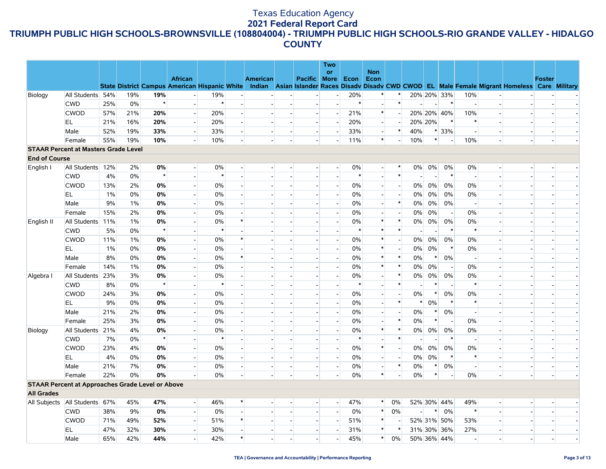|                      |                                                         |       |     |         |                                                      |        |                           |                 |                          |                          | Two                      |        |                          |                          |                          |                          |                          |                          |                          |                                                                                                  |               |  |
|----------------------|---------------------------------------------------------|-------|-----|---------|------------------------------------------------------|--------|---------------------------|-----------------|--------------------------|--------------------------|--------------------------|--------|--------------------------|--------------------------|--------------------------|--------------------------|--------------------------|--------------------------|--------------------------|--------------------------------------------------------------------------------------------------|---------------|--|
|                      |                                                         |       |     |         | <b>African</b>                                       |        |                           |                 |                          |                          | <b>or</b>                |        | <b>Non</b>               |                          |                          |                          |                          |                          |                          |                                                                                                  |               |  |
|                      |                                                         |       |     |         | <b>State District Campus American Hispanic White</b> |        |                           | <b>American</b> |                          | Pacific More             |                          | Econ   | Econ                     |                          |                          |                          |                          |                          |                          | Indian Asian Islander Races Disady Disady CWD CWOD EL Male Female Migrant Homeless Care Military | <b>Foster</b> |  |
| Biology              | All Students 54%                                        |       | 19% | 19%     |                                                      | 19%    | $\overline{a}$            |                 |                          |                          | $\overline{a}$           | 20%    | $\ast$                   |                          |                          |                          | 20% 20% 33%              | 10%                      |                          |                                                                                                  |               |  |
|                      | <b>CWD</b>                                              | 25%   | 0%  | $\star$ |                                                      | $\ast$ |                           |                 |                          |                          |                          | $\ast$ |                          | $\ast$                   |                          |                          | $\ast$                   | $\overline{\phantom{a}}$ |                          |                                                                                                  |               |  |
|                      | <b>CWOD</b>                                             | 57%   | 21% | 20%     | $\sim$                                               | 20%    | $\overline{\phantom{a}}$  |                 | $\overline{a}$           | $\overline{a}$           | $\overline{a}$           | 21%    | $\ast$                   |                          |                          |                          | 20% 20% 40%              | 10%                      |                          |                                                                                                  |               |  |
|                      | EL                                                      | 21%   | 16% | 20%     | $\overline{a}$                                       | 20%    | $\mathbf{u}^{\mathrm{c}}$ |                 |                          |                          |                          | 20%    |                          |                          | 20% 20%                  |                          | $\ast$                   | $\ast$                   |                          |                                                                                                  |               |  |
|                      | Male                                                    | 52%   | 19% | 33%     | $\overline{\phantom{a}}$                             | 33%    | $\overline{a}$            |                 | $\overline{a}$           | $\overline{\phantom{a}}$ | $\overline{a}$           | 33%    | $\overline{\phantom{a}}$ | $\ast$                   | 40%                      |                          | $* 33%$                  | $\overline{a}$           | $\overline{a}$           |                                                                                                  |               |  |
|                      | Female                                                  | 55%   | 19% | 10%     |                                                      | 10%    |                           |                 | $\overline{\phantom{a}}$ |                          | $\blacksquare$           | 11%    | $\ast$                   |                          | 10%                      | $\ast$                   | $\overline{\phantom{a}}$ | 10%                      |                          |                                                                                                  |               |  |
|                      | <b>STAAR Percent at Masters Grade Level</b>             |       |     |         |                                                      |        |                           |                 |                          |                          |                          |        |                          |                          |                          |                          |                          |                          |                          |                                                                                                  |               |  |
| <b>End of Course</b> |                                                         |       |     |         |                                                      |        |                           |                 |                          |                          |                          |        |                          |                          |                          |                          |                          |                          |                          |                                                                                                  |               |  |
| English I            | All Students 12%                                        |       | 2%  | 0%      | $\overline{a}$                                       | 0%     | $\overline{a}$            |                 |                          |                          | $\overline{\phantom{a}}$ | 0%     | $\overline{\phantom{a}}$ | $\ast$                   | $0\%$                    | 0%                       | 0%                       | 0%                       | $\overline{\phantom{a}}$ |                                                                                                  |               |  |
|                      | <b>CWD</b>                                              | 4%    | 0%  | $\star$ |                                                      | $\ast$ | $\blacksquare$            |                 |                          |                          | $\blacksquare$           | $\ast$ |                          | $\ast$                   | $\blacksquare$           | $\overline{\phantom{a}}$ | $\ast$                   | $\overline{\phantom{a}}$ | $\overline{\phantom{a}}$ |                                                                                                  |               |  |
|                      | <b>CWOD</b>                                             | 13%   | 2%  | 0%      | $\overline{a}$                                       | $0\%$  | $\overline{a}$            |                 |                          |                          | $\overline{\phantom{0}}$ | 0%     | $\overline{a}$           | $\overline{\phantom{a}}$ | $0\%$                    | 0%                       | 0%                       | 0%                       |                          |                                                                                                  |               |  |
|                      | EL.                                                     | $1\%$ | 0%  | 0%      | $\overline{a}$                                       | $0\%$  | $\overline{a}$            |                 |                          |                          | $\overline{\phantom{a}}$ | 0%     | $\overline{\phantom{a}}$ | $\overline{\phantom{a}}$ | $0\%$                    | 0%                       | 0%                       | $0\%$                    | $\overline{\phantom{a}}$ |                                                                                                  |               |  |
|                      | Male                                                    | 9%    | 1%  | 0%      | $\overline{\phantom{a}}$                             | 0%     | $\overline{a}$            |                 |                          |                          | $\overline{\phantom{a}}$ | 0%     |                          | $\ast$                   | 0%                       | 0%                       | 0%                       | $\overline{\phantom{a}}$ | $\overline{a}$           |                                                                                                  |               |  |
|                      | Female                                                  | 15%   | 2%  | 0%      | $\sim$                                               | $0\%$  | $\overline{\phantom{a}}$  |                 |                          |                          |                          | 0%     |                          |                          | 0%                       | 0%                       | $\overline{\phantom{0}}$ | 0%                       | $\overline{\phantom{a}}$ |                                                                                                  |               |  |
| English II           | All Students                                            | 11%   | 1%  | 0%      |                                                      | $0\%$  | $\ast$                    |                 |                          |                          |                          | 0%     | $\ast$                   | $\ast$                   | $0\%$                    | 0%                       | 0%                       | 0%                       |                          |                                                                                                  |               |  |
|                      | <b>CWD</b>                                              | 5%    | 0%  | $\star$ |                                                      | $\ast$ |                           |                 |                          |                          |                          | $\ast$ | $\ast$                   | $\ast$                   |                          |                          | $\ast$                   | $\ast$                   |                          |                                                                                                  |               |  |
|                      | <b>CWOD</b>                                             | 11%   | 1%  | 0%      | $\overline{a}$                                       | 0%     | $\ast$                    |                 |                          |                          | $\overline{\phantom{a}}$ | 0%     | $\ast$                   | $\overline{a}$           | $0\%$                    | 0%                       | 0%                       | 0%                       |                          |                                                                                                  |               |  |
|                      | EL.                                                     | $1\%$ | 0%  | 0%      | $\overline{a}$                                       | 0%     |                           |                 |                          |                          |                          | 0%     | $\ast$                   | $\overline{\phantom{a}}$ | $0\%$                    | 0%                       | $\ast$                   | 0%                       | $\overline{\phantom{a}}$ |                                                                                                  |               |  |
|                      | Male                                                    | 8%    | 0%  | 0%      | $\overline{\phantom{a}}$                             | 0%     | $\ast$                    |                 |                          |                          | $\overline{a}$           | 0%     | $\ast$                   | $\ast$                   | 0%                       | $\ast$                   | 0%                       | $\overline{\phantom{a}}$ |                          |                                                                                                  |               |  |
|                      | Female                                                  | 14%   | 1%  | 0%      | $\overline{a}$                                       | 0%     | $\overline{\phantom{a}}$  |                 |                          |                          | $\blacksquare$           | 0%     | $\ast$                   | $\ast$                   | $0\%$                    | 0%                       | $\overline{\phantom{a}}$ | 0%                       | $\blacksquare$           |                                                                                                  |               |  |
| Algebra I            | All Students                                            | 23%   | 3%  | $0\%$   |                                                      | 0%     | $\overline{\phantom{a}}$  |                 |                          |                          | $\overline{\phantom{a}}$ | 0%     |                          | $\ast$                   | 0%                       | $0\%$                    | $0\%$                    | 0%                       |                          |                                                                                                  |               |  |
|                      | <b>CWD</b>                                              | 8%    | 0%  | $\star$ | $\overline{a}$                                       | $\ast$ | $\overline{a}$            |                 |                          | $\overline{a}$           |                          | $\ast$ |                          | $\ast$                   | $\sim$                   | $\ast$                   | $\overline{\phantom{a}}$ | $\ast$                   | $\overline{a}$           |                                                                                                  |               |  |
|                      | <b>CWOD</b>                                             | 24%   | 3%  | 0%      | $\overline{a}$                                       | 0%     |                           |                 |                          |                          | $\overline{\phantom{a}}$ | 0%     |                          |                          | 0%                       | $\ast$                   | $0\%$                    | 0%                       |                          |                                                                                                  |               |  |
|                      | EL.                                                     | 9%    | 0%  | $0\%$   | $\overline{a}$                                       | $0\%$  | $\overline{\phantom{a}}$  |                 |                          |                          | $\overline{a}$           | 0%     | $\blacksquare$           | $\ast$                   | $\ast$                   | 0%                       | $\ast$                   | $\ast$                   | $\overline{a}$           |                                                                                                  |               |  |
|                      | Male                                                    | 21%   | 2%  | 0%      |                                                      | 0%     |                           |                 |                          |                          |                          | 0%     | $\overline{\phantom{a}}$ |                          | $0\%$                    | $\ast$                   | 0%                       | $\overline{\phantom{a}}$ |                          |                                                                                                  |               |  |
|                      | Female                                                  | 25%   | 3%  | 0%      | $\overline{a}$                                       | 0%     | $\overline{\phantom{a}}$  |                 |                          |                          |                          | 0%     |                          | $\ast$                   | 0%                       | $\ast$                   | $\overline{\phantom{a}}$ | 0%                       | $\blacksquare$           |                                                                                                  |               |  |
| Biology              | All Students                                            | 21%   | 4%  | 0%      |                                                      | $0\%$  |                           |                 |                          |                          |                          | 0%     | $\ast$                   | $\ast$                   | $0\%$                    | 0%                       | 0%                       | $0\%$                    |                          |                                                                                                  |               |  |
|                      | <b>CWD</b>                                              | 7%    | 0%  | $\star$ | $\sim$                                               | $\ast$ | $\overline{a}$            |                 |                          |                          |                          | $\ast$ |                          | $\ast$                   | $\overline{\phantom{a}}$ | $\overline{\phantom{a}}$ | $\ast$                   | $\overline{a}$           | $\overline{a}$           |                                                                                                  |               |  |
|                      | <b>CWOD</b>                                             | 23%   | 4%  | 0%      |                                                      | 0%     |                           |                 |                          |                          |                          | 0%     | $\ast$                   |                          | 0%                       | $0\%$                    | 0%                       | 0%                       |                          |                                                                                                  |               |  |
|                      | EL.                                                     | 4%    | 0%  | 0%      | $\sim$                                               | $0\%$  | $\overline{\phantom{a}}$  |                 | $\sim$                   |                          | $\overline{a}$           | 0%     | $\overline{a}$           | $\overline{a}$           | $0\%$                    | 0%                       | $\ast$                   | $\ast$                   | $\overline{a}$           |                                                                                                  |               |  |
|                      | Male                                                    | 21%   | 7%  | 0%      |                                                      | 0%     | $\mathbf{u}^{\mathrm{c}}$ |                 | $\overline{\phantom{a}}$ |                          | $\overline{a}$           | 0%     |                          | $\ast$                   | 0%                       | $\ast$                   | 0%                       | $\overline{\phantom{a}}$ | $\overline{\phantom{a}}$ |                                                                                                  |               |  |
|                      | Female                                                  | 22%   | 0%  | 0%      |                                                      | 0%     | $\overline{a}$            |                 |                          |                          |                          | 0%     | $\ast$                   |                          | 0%                       | $\ast$                   |                          | 0%                       | $\overline{a}$           |                                                                                                  |               |  |
|                      | <b>STAAR Percent at Approaches Grade Level or Above</b> |       |     |         |                                                      |        |                           |                 |                          |                          |                          |        |                          |                          |                          |                          |                          |                          |                          |                                                                                                  |               |  |
| <b>All Grades</b>    |                                                         |       |     |         |                                                      |        |                           |                 |                          |                          |                          |        |                          |                          |                          |                          |                          |                          |                          |                                                                                                  |               |  |
|                      | All Subjects   All Students 67%                         |       | 45% | 47%     | $\overline{a}$                                       | 46%    | $\ast$                    |                 |                          |                          | $\overline{a}$           | 47%    | $\ast$                   | 0%                       |                          |                          | 52% 30% 44%              | 49%                      | $\overline{\phantom{a}}$ |                                                                                                  |               |  |
|                      | <b>CWD</b>                                              | 38%   | 9%  | 0%      | $\overline{a}$                                       | $0\%$  | $\overline{a}$            |                 |                          | $\overline{a}$           | $\overline{\phantom{a}}$ | 0%     | $\ast$                   | 0%                       | $\overline{a}$           | $\ast$                   | 0%                       | $\ast$                   | $\sim$                   |                                                                                                  |               |  |
|                      | <b>CWOD</b>                                             | 71%   | 49% | 52%     | $\overline{a}$                                       | 51%    | $\ast$                    |                 | $\blacksquare$           | $\overline{a}$           | $\overline{\phantom{a}}$ | 51%    | $\ast$                   |                          |                          |                          | 52% 31% 50%              | 53%                      | $\overline{\phantom{a}}$ |                                                                                                  |               |  |
|                      | EL.                                                     | 47%   | 32% | 30%     | $\overline{a}$                                       | 30%    | $\overline{a}$            |                 |                          |                          | $\sim$                   | 31%    | $\ast$                   | $\ast$                   |                          |                          | 31% 30% 36%              | 27%                      | $\overline{a}$           |                                                                                                  |               |  |
|                      | Male                                                    | 65%   | 42% | 44%     |                                                      | 42%    | $\ast$                    |                 |                          |                          | $\overline{\phantom{a}}$ | 45%    | $\ast$                   | 0%                       |                          |                          | 50% 36% 44%              | $\overline{\phantom{a}}$ | $\overline{\phantom{a}}$ |                                                                                                  |               |  |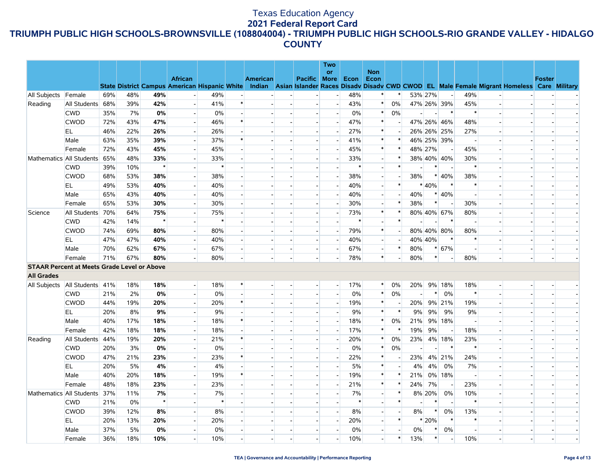|                     |                                                    |     |       |         |                                                                        |        |        |          |                          | Two                      |        |                          |                          |                          |                |                          |                          |                          |                                                                                                  |               |  |
|---------------------|----------------------------------------------------|-----|-------|---------|------------------------------------------------------------------------|--------|--------|----------|--------------------------|--------------------------|--------|--------------------------|--------------------------|--------------------------|----------------|--------------------------|--------------------------|--------------------------|--------------------------------------------------------------------------------------------------|---------------|--|
|                     |                                                    |     |       |         |                                                                        |        |        |          |                          | or                       |        | <b>Non</b>               |                          |                          |                |                          |                          |                          |                                                                                                  |               |  |
|                     |                                                    |     |       |         | <b>African</b><br><b>State District Campus American Hispanic White</b> |        |        | American | Pacific More             |                          | Econ   | Econ                     |                          |                          |                |                          |                          |                          | Indian Asian Islander Races Disady Disady CWD CWOD EL Male Female Migrant Homeless Care Military | <b>Foster</b> |  |
| All Subjects Female |                                                    | 69% | 48%   | 49%     |                                                                        | 49%    |        |          |                          | $\overline{a}$           | 48%    | ∗                        |                          | 53% 27%                  |                | $\sim$                   | 49%                      |                          |                                                                                                  |               |  |
| Reading             | All Students                                       | 68% | 39%   | 42%     |                                                                        | 41%    | $\ast$ |          |                          | $\overline{\phantom{a}}$ | 43%    | $\ast$                   | 0%                       |                          |                | 47% 26% 39%              | 45%                      |                          |                                                                                                  |               |  |
|                     | <b>CWD</b>                                         | 35% | 7%    | 0%      | $\overline{\phantom{a}}$                                               | 0%     |        |          | $\overline{a}$           | $\overline{a}$           | $0\%$  | $\ast$                   | 0%                       |                          |                | $\ast$                   | $\ast$                   |                          |                                                                                                  |               |  |
|                     | <b>CWOD</b>                                        | 72% | 43%   | 47%     | $\overline{a}$                                                         | 46%    | $\ast$ |          | $\sim$                   | $\blacksquare$           | 47%    | $\ast$                   |                          |                          |                | 47% 26% 46%              | 48%                      |                          |                                                                                                  |               |  |
|                     | EL.                                                | 46% | 22%   | 26%     | $\mathbb{L}^+$                                                         | 26%    |        |          |                          | $\overline{a}$           | 27%    | $\ast$                   |                          |                          |                | 26% 26% 25%              | 27%                      |                          |                                                                                                  |               |  |
|                     | Male                                               | 63% | 35%   | 39%     | $\sim$                                                                 | 37%    |        |          | $\overline{\phantom{a}}$ | $\blacksquare$           | 41%    | $\ast$                   | $\ast$                   |                          |                | 46% 25% 39%              | $\overline{a}$           |                          |                                                                                                  |               |  |
|                     | Female                                             | 72% | 43%   | 45%     |                                                                        | 45%    |        |          |                          |                          | 45%    | $\ast$                   | $\ast$                   | 48% 27%                  |                |                          | 45%                      |                          |                                                                                                  |               |  |
|                     | Mathematics All Students                           | 65% | 48%   | 33%     |                                                                        | 33%    |        |          | $\overline{\phantom{a}}$ |                          | 33%    | $\overline{\phantom{a}}$ | $\ast$                   |                          |                | 38% 40% 40%              | 30%                      |                          |                                                                                                  |               |  |
|                     | <b>CWD</b>                                         | 39% | 10%   | $\star$ |                                                                        | $\ast$ |        |          |                          |                          | $\ast$ | $\overline{a}$           | $\ast$                   |                          | $\ast$         |                          | $\ast$                   |                          |                                                                                                  |               |  |
|                     | <b>CWOD</b>                                        | 68% | 53%   | 38%     | $\sim$                                                                 | 38%    |        |          | $\sim$                   | $\blacksquare$           | 38%    | $\overline{\phantom{0}}$ |                          | 38%                      |                | $* 40%$                  | 38%                      |                          |                                                                                                  |               |  |
|                     | EL                                                 | 49% | 53%   | 40%     |                                                                        | 40%    |        |          |                          |                          | 40%    | $\overline{a}$           | $\ast$                   |                          | * 40%          | $\ast$                   | $\ast$                   |                          |                                                                                                  |               |  |
|                     | Male                                               | 65% | 43%   | 40%     | $\overline{a}$                                                         | 40%    |        |          | $\overline{\phantom{a}}$ |                          | 40%    | $\overline{\phantom{0}}$ | $\overline{a}$           | 40%                      |                | $* 40%$                  | $\overline{a}$           |                          |                                                                                                  |               |  |
|                     | Female                                             | 65% | 53%   | 30%     | $\mathbf{L}$                                                           | 30%    |        |          | $\blacksquare$           |                          | 30%    | $\overline{\phantom{a}}$ | $\ast$                   | 38%                      | $\ast$         |                          | 30%                      |                          |                                                                                                  |               |  |
| Science             | All Students                                       | 70% | 64%   | 75%     |                                                                        | 75%    |        |          | $\overline{\phantom{a}}$ | $\overline{\phantom{a}}$ | 73%    | $\ast$                   | $\ast$                   |                          |                | 80% 40% 67%              | 80%                      | $\overline{\phantom{a}}$ |                                                                                                  |               |  |
|                     | <b>CWD</b>                                         | 42% | 14%   | $\star$ |                                                                        | $\ast$ |        |          |                          |                          | $\ast$ | $\overline{a}$           | $\ast$                   |                          |                | $\ast$                   | $\overline{a}$           |                          |                                                                                                  |               |  |
|                     | <b>CWOD</b>                                        | 74% | 69%   | 80%     | $\overline{a}$                                                         | 80%    |        |          | $\sim$                   |                          | 79%    | $\ast$                   | $\overline{\phantom{a}}$ |                          |                | 80% 40% 80%              | 80%                      |                          |                                                                                                  |               |  |
|                     | EL                                                 | 47% | 47%   | 40%     | $\overline{a}$                                                         | 40%    |        |          | $\overline{\phantom{a}}$ | $\sim$                   | 40%    | $\overline{\phantom{a}}$ |                          | 40% 40%                  |                | $\ast$                   | $\ast$                   |                          |                                                                                                  |               |  |
|                     | Male                                               | 70% | 62%   | 67%     | $\overline{a}$                                                         | 67%    |        |          | $\overline{a}$           | $\overline{a}$           | 67%    | $\overline{\phantom{a}}$ | $\ast$                   | 80%                      | $\ast$         | 67%                      | $\overline{a}$           |                          |                                                                                                  |               |  |
|                     | Female                                             | 71% | 67%   | 80%     |                                                                        | 80%    |        |          |                          |                          | 78%    | $\ast$                   |                          | 80%                      | $\ast$         |                          | 80%                      |                          |                                                                                                  |               |  |
|                     | <b>STAAR Percent at Meets Grade Level or Above</b> |     |       |         |                                                                        |        |        |          |                          |                          |        |                          |                          |                          |                |                          |                          |                          |                                                                                                  |               |  |
| <b>All Grades</b>   |                                                    |     |       |         |                                                                        |        |        |          |                          |                          |        |                          |                          |                          |                |                          |                          |                          |                                                                                                  |               |  |
| All Subjects        | All Students                                       | 41% | 18%   | 18%     | $\mathbf{I}$                                                           | 18%    | $\ast$ |          | $\sim$                   | $\overline{a}$           | 17%    | $\ast$                   | $0\%$                    | 20%                      |                | 9% 18%                   | 18%                      |                          |                                                                                                  |               |  |
|                     | <b>CWD</b>                                         | 21% | 2%    | 0%      | $\overline{a}$                                                         | 0%     |        |          | $\overline{\phantom{a}}$ | $\sim$                   | 0%     | $\ast$                   | 0%                       | $\overline{\phantom{a}}$ | $\ast$         | 0%                       | $\ast$                   |                          |                                                                                                  |               |  |
|                     | <b>CWOD</b>                                        | 44% | 19%   | 20%     |                                                                        | 20%    | $\ast$ |          |                          |                          | 19%    | $\ast$                   |                          | 20%                      |                | 9% 21%                   | 19%                      |                          |                                                                                                  |               |  |
|                     | EL                                                 | 20% | 8%    | 9%      | $\sim$                                                                 | 9%     |        |          |                          | $\blacksquare$           | 9%     | $\ast$                   | $\ast$                   | 9%                       | 9%             | 9%                       | 9%                       |                          |                                                                                                  |               |  |
|                     | Male                                               | 40% | 17%   | 18%     | $\overline{\phantom{a}}$                                               | 18%    | $\ast$ |          |                          | $\overline{\phantom{a}}$ | 18%    | $\ast$                   | 0%                       | 21%                      |                | 9% 18%                   | $\overline{\phantom{a}}$ |                          |                                                                                                  |               |  |
|                     | Female                                             | 42% | 18%   | 18%     | $\overline{a}$                                                         | 18%    |        |          | $\overline{\phantom{a}}$ | $\blacksquare$           | 17%    | $\ast$                   |                          | 19%                      | 9%             | $\overline{\phantom{a}}$ | 18%                      |                          |                                                                                                  |               |  |
| Reading             | All Students                                       | 44% | 19%   | 20%     | $\overline{\phantom{a}}$                                               | 21%    |        |          |                          |                          | 20%    | *                        | 0%                       | 23%                      |                | 4% 18%                   | 23%                      |                          |                                                                                                  |               |  |
|                     | <b>CWD</b>                                         | 20% | 3%    | 0%      | $\overline{a}$                                                         | 0%     |        |          | $\sim$                   | $\blacksquare$           | 0%     | $\ast$                   | 0%                       |                          | $\blacksquare$ | $\ast$                   | $\ast$                   | $\overline{\phantom{a}}$ |                                                                                                  |               |  |
|                     | <b>CWOD</b>                                        | 47% | 21%   | 23%     | $\overline{\phantom{a}}$                                               | 23%    | $\ast$ |          |                          | $\Box$                   | 22%    | $\ast$                   |                          | 23%                      |                | 4% 21%                   | 24%                      |                          |                                                                                                  |               |  |
|                     | EL.                                                | 20% | 5%    | 4%      |                                                                        | 4%     |        |          | $\sim$                   | $\blacksquare$           | 5%     | $\ast$                   | $\overline{\phantom{a}}$ | 4%                       | 4%             | 0%                       | 7%                       | $\overline{\phantom{a}}$ |                                                                                                  |               |  |
|                     | Male                                               | 40% | 20%   | 18%     |                                                                        | 19%    | $\ast$ |          |                          |                          | 19%    | $\ast$                   | $\ast$                   | 21%                      |                | 0% 18%                   | $\blacksquare$           |                          |                                                                                                  |               |  |
|                     | Female                                             | 48% | 18%   | 23%     | $\sim$                                                                 | 23%    |        |          | $\overline{\phantom{a}}$ | $\blacksquare$           | 21%    | $\ast$                   | $\ast$                   | 24%                      | 7%             |                          | 23%                      | $\overline{\phantom{a}}$ |                                                                                                  |               |  |
|                     | Mathematics All Students                           | 37% | 11%   | 7%      |                                                                        | 7%     |        |          |                          |                          | 7%     | $\overline{\phantom{a}}$ | $\ast$                   |                          | 8% 20%         | 0%                       | 10%                      |                          |                                                                                                  |               |  |
|                     | <b>CWD</b>                                         | 21% | $0\%$ | $\star$ |                                                                        | $\ast$ |        |          | $\overline{a}$           |                          | $\ast$ | $\overline{\phantom{a}}$ | $\ast$                   |                          | *              |                          | $\ast$                   | $\overline{\phantom{a}}$ |                                                                                                  |               |  |
|                     | <b>CWOD</b>                                        | 39% | 12%   | 8%      |                                                                        | 8%     |        |          |                          |                          | 8%     | $\overline{\phantom{a}}$ |                          | 8%                       | $\ast$         | 0%                       | 13%                      |                          |                                                                                                  |               |  |
|                     | EL                                                 | 20% | 13%   | 20%     | $\overline{a}$                                                         | 20%    |        |          | $\blacksquare$           | $\overline{a}$           | 20%    | $\overline{a}$           | $\ast$                   |                          | * 20%          | $\ast$                   | $\ast$                   |                          |                                                                                                  |               |  |
|                     | Male                                               | 37% | 5%    | 0%      |                                                                        | 0%     |        |          | $\sim$                   |                          | 0%     | $\overline{\phantom{a}}$ |                          | 0%                       | $\ast$         | 0%                       | $\overline{\phantom{a}}$ |                          |                                                                                                  |               |  |
|                     | Female                                             | 36% | 18%   | 10%     |                                                                        | 10%    |        |          | $\overline{a}$           | $\overline{\phantom{a}}$ | 10%    | $\overline{a}$           | $\ast$                   | 13%                      | $\ast$         |                          | 10%                      |                          | $\overline{a}$                                                                                   |               |  |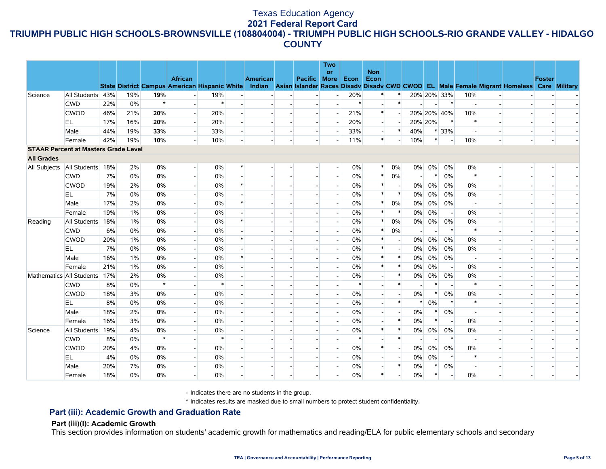|                   |                                             |     |       |         |                                                                        |        |        |                 |                          | <b>Two</b>               |        |            |                |                          |        |                          |                          |                                                                                    |        |                      |
|-------------------|---------------------------------------------|-----|-------|---------|------------------------------------------------------------------------|--------|--------|-----------------|--------------------------|--------------------------|--------|------------|----------------|--------------------------|--------|--------------------------|--------------------------|------------------------------------------------------------------------------------|--------|----------------------|
|                   |                                             |     |       |         |                                                                        |        |        |                 |                          | <b>or</b>                |        | <b>Non</b> |                |                          |        |                          |                          |                                                                                    |        |                      |
|                   |                                             |     |       |         | <b>African</b><br><b>State District Campus American Hispanic White</b> |        |        | <b>American</b> | <b>Pacific More</b>      |                          | Econ   | Econ       |                |                          |        |                          |                          | Indian Asian Islander Races Disadv Disadv CWD CWOD EL Male Female Migrant Homeless | Foster | <b>Care Military</b> |
| Science           | All Students 43%                            |     | 19%   | 19%     |                                                                        | 19%    |        |                 | $\overline{\phantom{a}}$ |                          | 20%    |            |                |                          |        | 20% 20% 33%              | 10%                      |                                                                                    |        |                      |
|                   | <b>CWD</b>                                  | 22% | 0%    | $\star$ | $\overline{\phantom{a}}$                                               | $\ast$ |        |                 | $\blacksquare$           |                          | $\ast$ |            | $\ast$         |                          |        | $\ast$                   | $\overline{\phantom{a}}$ |                                                                                    |        |                      |
|                   | <b>CWOD</b>                                 | 46% | 21%   | 20%     | $\overline{a}$                                                         | 20%    |        |                 |                          |                          | 21%    | $\ast$     |                |                          |        | 20% 20% 40%              | 10%                      |                                                                                    |        |                      |
|                   | EL.                                         | 17% | 16%   | 20%     |                                                                        | 20%    |        |                 |                          |                          | 20%    |            |                | 20% 20%                  |        | $\ast$                   | $\ast$                   |                                                                                    |        |                      |
|                   | Male                                        | 44% | 19%   | 33%     |                                                                        | 33%    |        |                 |                          |                          | 33%    |            | $\ast$         | 40%                      |        | * 33%                    |                          |                                                                                    |        |                      |
|                   | Female                                      | 42% | 19%   | 10%     |                                                                        | 10%    |        |                 |                          |                          | 11%    | $\ast$     |                | 10%                      | $\ast$ | $\overline{a}$           | 10%                      |                                                                                    |        |                      |
|                   | <b>STAAR Percent at Masters Grade Level</b> |     |       |         |                                                                        |        |        |                 |                          |                          |        |            |                |                          |        |                          |                          |                                                                                    |        |                      |
| <b>All Grades</b> |                                             |     |       |         |                                                                        |        |        |                 |                          |                          |        |            |                |                          |        |                          |                          |                                                                                    |        |                      |
|                   | All Subjects All Students 18%               |     | 2%    | 0%      |                                                                        | 0%     | $\ast$ |                 |                          | $\overline{\phantom{a}}$ | 0%     | *          | 0%             |                          | 0% 0%  | $0\%$                    | 0%                       |                                                                                    |        |                      |
|                   | <b>CWD</b>                                  | 7%  | 0%    | 0%      | $\overline{\phantom{a}}$                                               | $0\%$  |        |                 |                          |                          | 0%     | $\ast$     | 0%             | $\overline{\phantom{a}}$ |        | 0%                       | $\ast$                   |                                                                                    |        |                      |
|                   | <b>CWOD</b>                                 | 19% | 2%    | 0%      |                                                                        | 0%     | $\ast$ |                 |                          |                          | 0%     | $\ast$     |                | $0\%$                    | 0%     | 0%                       | 0%                       |                                                                                    |        |                      |
|                   | EL.                                         | 7%  | 0%    | 0%      |                                                                        | $0\%$  |        |                 |                          |                          | 0%     | $\ast$     | $\ast$         | $0\%$                    | 0%     | 0%                       | 0%                       |                                                                                    |        |                      |
|                   | Male                                        | 17% | 2%    | 0%      |                                                                        | 0%     |        |                 |                          |                          | 0%     | $\ast$     | 0%             | 0%                       | $0\%$  | 0%                       | $\overline{\phantom{a}}$ |                                                                                    |        |                      |
|                   | Female                                      | 19% | $1\%$ | 0%      |                                                                        | 0%     |        |                 |                          |                          | 0%     | $\ast$     |                | $0\%$                    | 0%     | $\overline{a}$           | 0%                       |                                                                                    |        |                      |
| Reading           | All Students                                | 18% | $1\%$ | 0%      |                                                                        | 0%     |        |                 |                          |                          | 0%     | $\ast$     | 0%             | 0%                       | 0%     | 0%                       | 0%                       |                                                                                    |        |                      |
|                   | <b>CWD</b>                                  | 6%  | 0%    | 0%      |                                                                        | 0%     |        |                 |                          |                          | 0%     | $\ast$     | 0%             | $\overline{\phantom{a}}$ |        | $\ast$                   | $\ast$                   |                                                                                    |        |                      |
|                   | <b>CWOD</b>                                 | 20% | 1%    | 0%      |                                                                        | 0%     |        |                 |                          |                          | 0%     | $\ast$     |                | $0\%$                    | $0\%$  | 0%                       | 0%                       |                                                                                    |        |                      |
|                   | EL.                                         | 7%  | 0%    | 0%      | $\overline{\phantom{a}}$                                               | 0%     |        |                 |                          |                          | 0%     | $\ast$     | $\overline{a}$ | $0\%$                    | 0%     | $0\%$                    | 0%                       |                                                                                    |        |                      |
|                   | Male                                        | 16% | $1\%$ | 0%      | $\overline{\phantom{a}}$                                               | 0%     |        |                 |                          |                          | 0%     | $\ast$     | $\ast$         | $0\%$                    | $0\%$  | $0\%$                    | $\overline{a}$           |                                                                                    |        |                      |
|                   | Female                                      | 21% | 1%    | 0%      |                                                                        | 0%     |        |                 |                          |                          | 0%     | $\ast$     | $\ast$         | 0%                       | 0%     | $\overline{a}$           | 0%                       |                                                                                    |        |                      |
|                   | Mathematics All Students                    | 17% | 2%    | 0%      |                                                                        | 0%     |        |                 |                          |                          | 0%     |            | $\ast$         | 0%                       | 0%     | 0%                       | 0%                       |                                                                                    |        |                      |
|                   | <b>CWD</b>                                  | 8%  | 0%    | $\star$ |                                                                        | $\ast$ |        |                 |                          |                          | $\ast$ |            | $\ast$         |                          |        | $\overline{\phantom{a}}$ | $\ast$                   |                                                                                    |        |                      |
|                   | <b>CWOD</b>                                 | 18% | 3%    | 0%      |                                                                        | 0%     |        |                 |                          |                          | 0%     |            |                | $0\%$                    | $\ast$ | 0%                       | $0\%$                    |                                                                                    |        |                      |
|                   | EL.                                         | 8%  | 0%    | 0%      |                                                                        | 0%     |        |                 |                          |                          | 0%     |            | $\ast$         | $\ast$                   | 0%     | $\ast$                   | $\ast$                   |                                                                                    |        |                      |
|                   | Male                                        | 18% | 2%    | 0%      |                                                                        | 0%     |        |                 |                          |                          | 0%     |            |                | 0%                       |        | 0%                       |                          |                                                                                    |        |                      |
|                   | Female                                      | 16% | 3%    | 0%      |                                                                        | 0%     |        |                 |                          |                          | 0%     |            | $\ast$         | 0%                       | $\ast$ |                          | 0%                       |                                                                                    |        |                      |
| Science           | All Students                                | 19% | 4%    | 0%      |                                                                        | 0%     |        |                 |                          |                          | 0%     | $\ast$     | $\ast$         | $0\%$                    | 0%     | 0%                       | 0%                       |                                                                                    |        |                      |
|                   | <b>CWD</b>                                  | 8%  | 0%    | $\star$ |                                                                        | $\ast$ |        |                 |                          |                          | $\ast$ |            | $\ast$         |                          |        | $\ast$                   |                          |                                                                                    |        |                      |
|                   | <b>CWOD</b>                                 | 20% | 4%    | 0%      |                                                                        | $0\%$  |        |                 |                          |                          | 0%     | $\ast$     |                | 0%                       | 0%     | 0%                       | 0%                       |                                                                                    |        |                      |
|                   | EL.                                         | 4%  | 0%    | 0%      |                                                                        | 0%     |        |                 |                          |                          | 0%     |            |                | 0%                       | 0%     | $\ast$                   | $\ast$                   |                                                                                    |        |                      |
|                   | Male                                        | 20% | 7%    | 0%      |                                                                        | 0%     |        |                 |                          |                          | 0%     |            | $\ast$         | 0%                       |        | $0\%$                    |                          |                                                                                    |        |                      |
|                   | Female                                      | 18% | 0%    | 0%      |                                                                        | 0%     |        |                 |                          |                          | 0%     | $\ast$     |                | 0%                       | $\ast$ |                          | 0%                       |                                                                                    |        |                      |

- Indicates there are no students in the group.

\* Indicates results are masked due to small numbers to protect student confidentiality.

# **Part (iii): Academic Growth and Graduation Rate**

#### **Part (iii)(I): Academic Growth**

This section provides information on students' academic growth for mathematics and reading/ELA for public elementary schools and secondary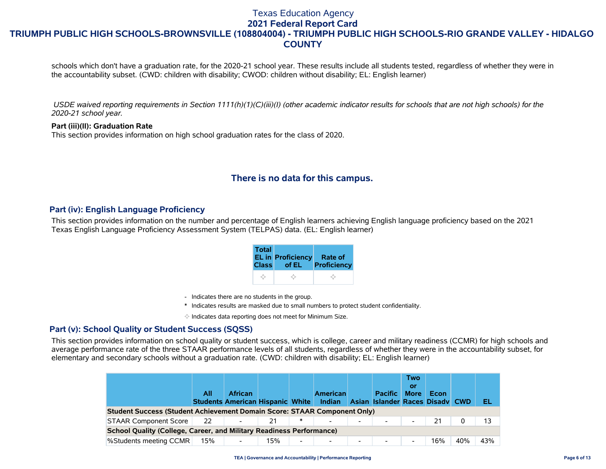### Texas Education Agency **2021 Federal Report Card**

# **TRIUMPH PUBLIC HIGH SCHOOLS-BROWNSVILLE (108804004) - TRIUMPH PUBLIC HIGH SCHOOLS-RIO GRANDE VALLEY - HIDALGO COUNTY**

schools which don't have a graduation rate, for the 2020-21 school year. These results include all students tested, regardless of whether they were in the accountability subset. (CWD: children with disability; CWOD: children without disability; EL: English learner)

 *USDE waived reporting requirements in Section 1111(h)(1)(C)(iii)(I) (other academic indicator results for schools that are not high schools) for the 2020-21 school year.*

**Part (iii)(II): Graduation Rate** This section provides information on high school graduation rates for the class of 2020.

# **There is no data for this campus.**

## **Part (iv): English Language Proficiency**

This section provides information on the number and percentage of English learners achieving English language proficiency based on the 2021 Texas English Language Proficiency Assessment System (TELPAS) data. (EL: English learner)

| <b>Total</b> | <b>EL in Proficiency</b> | Rate of     |
|--------------|--------------------------|-------------|
| <b>Class</b> | of EL                    | Proficiency |
|              |                          |             |

- Indicates there are no students in the group.
- \* Indicates results are masked due to small numbers to protect student confidentiality.

 $\diamond$  Indicates data reporting does not meet for Minimum Size.

## **Part (v): School Quality or Student Success (SQSS)**

This section provides information on school quality or student success, which is college, career and military readiness (CCMR) for high schools and average performance rate of the three STAAR performance levels of all students, regardless of whether they were in the accountability subset, for elementary and secondary schools without a graduation rate. (CWD: children with disability; EL: English learner)

|                                                                             | All | <b>African</b><br><b>Students American Hispanic White</b> |     |        | <b>American</b><br>Indian |                          | <b>Pacific</b><br>Asian Islander Races Disady CWD | <b>Two</b><br>or<br><b>More</b> | Econ |     | EL  |
|-----------------------------------------------------------------------------|-----|-----------------------------------------------------------|-----|--------|---------------------------|--------------------------|---------------------------------------------------|---------------------------------|------|-----|-----|
| Student Success (Student Achievement Domain Score: STAAR Component Only)    |     |                                                           |     |        |                           |                          |                                                   |                                 |      |     |     |
| STAAR Component Score                                                       | 22  | $\overline{\phantom{a}}$                                  | 21  | $\ast$ |                           | $\overline{\phantom{a}}$ |                                                   | $\overline{\phantom{0}}$        | 21   | 0   |     |
| <b>School Quality (College, Career, and Military Readiness Performance)</b> |     |                                                           |     |        |                           |                          |                                                   |                                 |      |     |     |
| %Students meeting CCMR                                                      | 15% |                                                           | 15% |        |                           | $\overline{\phantom{a}}$ |                                                   |                                 | 16%  | 40% | 43% |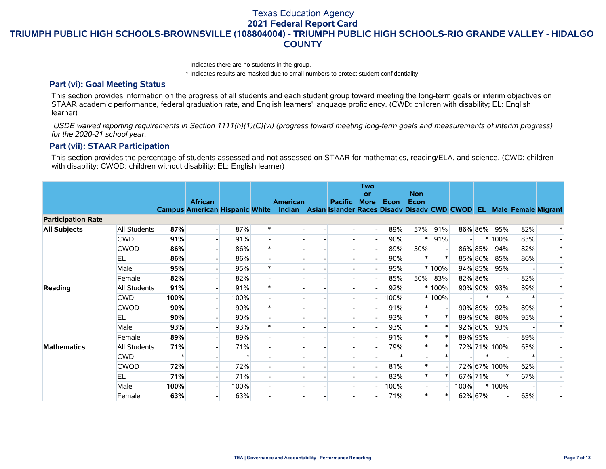Texas Education Agency

**2021 Federal Report Card**

**TRIUMPH PUBLIC HIGH SCHOOLS-BROWNSVILLE (108804004) - TRIUMPH PUBLIC HIGH SCHOOLS-RIO GRANDE VALLEY - HIDALGO COUNTY**

- Indicates there are no students in the group.

\* Indicates results are masked due to small numbers to protect student confidentiality.

#### **Part (vi): Goal Meeting Status**

This section provides information on the progress of all students and each student group toward meeting the long-term goals or interim objectives on STAAR academic performance, federal graduation rate, and English learners' language proficiency. (CWD: children with disability; EL: English learner)

 *USDE waived reporting requirements in Section 1111(h)(1)(C)(vi) (progress toward meeting long-term goals and measurements of interim progress) for the 2020-21 school year.*

#### **Part (vii): STAAR Participation**

This section provides the percentage of students assessed and not assessed on STAAR for mathematics, reading/ELA, and science. (CWD: children with disability; CWOD: children without disability; EL: English learner)

|                           |              |      | <b>African</b>                        |      |        | <b>American</b>                                                           | <b>Pacific</b> | <b>Two</b><br>or<br><b>More</b> | <b>Econ</b> | <b>Non</b><br>Econ |         |      |         |              |     |        |
|---------------------------|--------------|------|---------------------------------------|------|--------|---------------------------------------------------------------------------|----------------|---------------------------------|-------------|--------------------|---------|------|---------|--------------|-----|--------|
|                           |              |      | <b>Campus American Hispanic White</b> |      |        | Indian Asian Islander Races Disadv Disadv CWD CWOD EL Male Female Migrant |                |                                 |             |                    |         |      |         |              |     |        |
| <b>Participation Rate</b> |              |      |                                       |      |        |                                                                           |                |                                 |             |                    |         |      |         |              |     |        |
| <b>All Subjects</b>       | All Students | 87%  |                                       | 87%  | $\ast$ |                                                                           |                |                                 | 89%         | 57%                | 91%     |      |         | 86% 86% 95%  | 82% |        |
|                           | <b>CWD</b>   | 91%  |                                       | 91%  |        |                                                                           |                |                                 | 90%         | $\ast$             | 91%     |      |         | $*100\%$     | 83% |        |
|                           | <b>CWOD</b>  | 86%  |                                       | 86%  |        |                                                                           |                |                                 | 89%         | 50%                |         |      | 86% 85% | 94%          | 82% | $\ast$ |
|                           | <b>EL</b>    | 86%  |                                       | 86%  |        |                                                                           |                |                                 | 90%         |                    |         |      | 85% 86% | 85%          | 86% |        |
|                           | Male         | 95%  |                                       | 95%  |        |                                                                           |                |                                 | 95%         |                    | $*100%$ |      | 94% 85% | 95%          |     | $\ast$ |
|                           | Female       | 82%  |                                       | 82%  |        |                                                                           |                |                                 | 85%         |                    | 50% 83% |      | 82% 86% |              | 82% |        |
| Reading                   | All Students | 91%  |                                       | 91%  |        |                                                                           |                |                                 | 92%         |                    | $*100%$ |      | 90% 90% | 93%          | 89% | $\ast$ |
|                           | <b>CWD</b>   | 100% |                                       | 100% |        |                                                                           |                |                                 | 100%        |                    | * 100%  |      |         | $\ast$       |     |        |
|                           | <b>CWOD</b>  | 90%  |                                       | 90%  |        |                                                                           |                |                                 | 91%         |                    |         |      | 90% 89% | 92%          | 89% | $\ast$ |
|                           | <b>EL</b>    | 90%  |                                       | 90%  |        |                                                                           |                |                                 | 93%         | $\ast$             |         |      | 89% 90% | 80%          | 95% |        |
|                           | Male         | 93%  |                                       | 93%  |        |                                                                           |                |                                 | 93%         | $\ast$             |         |      | 92% 80% | 93%          |     | $\ast$ |
|                           | Female       | 89%  |                                       | 89%  |        |                                                                           |                |                                 | 91%         | $\ast$             |         |      | 89% 95% |              | 89% |        |
| <b>Mathematics</b>        | All Students | 71%  |                                       | 71%  |        |                                                                           |                |                                 | 79%         |                    |         |      |         | 72% 71% 100% | 63% |        |
|                           | <b>CWD</b>   |      |                                       |      |        |                                                                           |                |                                 |             |                    |         |      |         |              |     |        |
|                           | <b>CWOD</b>  | 72%  |                                       | 72%  |        |                                                                           |                |                                 | 81%         |                    |         |      |         | 72% 67% 100% | 62% |        |
|                           | <b>EL</b>    | 71%  |                                       | 71%  |        |                                                                           |                |                                 | 83%         | $\ast$             |         |      | 67% 71% |              | 67% |        |
|                           | Male         | 100% |                                       | 100% |        |                                                                           |                |                                 | 100%        |                    |         | 100% |         | $*100%$      |     |        |
|                           | Female       | 63%  |                                       | 63%  |        |                                                                           |                |                                 | 71%         | $\ast$             |         |      | 62% 67% |              | 63% |        |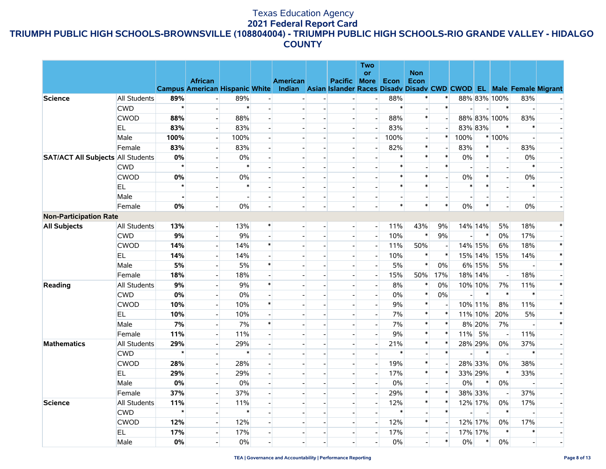# Texas Education Agency **2021 Federal Report Card**

# **TRIUMPH PUBLIC HIGH SCHOOLS-BROWNSVILLE (108804004) - TRIUMPH PUBLIC HIGH SCHOOLS-RIO GRANDE VALLEY - HIDALGO COUNTY**

|                                          |                     |         |                                                         |        |                          |                                                                                              |                                            |                          | <b>Two</b>               |        |                          |                |        |                          |                                          |        |        |
|------------------------------------------|---------------------|---------|---------------------------------------------------------|--------|--------------------------|----------------------------------------------------------------------------------------------|--------------------------------------------|--------------------------|--------------------------|--------|--------------------------|----------------|--------|--------------------------|------------------------------------------|--------|--------|
|                                          |                     |         |                                                         |        |                          |                                                                                              |                                            |                          | <b>or</b>                |        | <b>Non</b>               |                |        |                          |                                          |        |        |
|                                          |                     |         | <b>African</b><br><b>Campus American Hispanic White</b> |        |                          | <b>American</b><br>Indian Asian Islander Races Disadv Disadv CWD CWOD EL Male Female Migrant |                                            | Pacific                  | <b>More</b>              | Econ   | Econ                     |                |        |                          |                                          |        |        |
| <b>Science</b>                           | <b>All Students</b> | 89%     |                                                         | 89%    |                          |                                                                                              |                                            |                          |                          | 88%    | $\ast$                   | ∗              |        |                          | 88% 83% 100%                             | 83%    |        |
|                                          | <b>CWD</b>          | $\star$ |                                                         | $\ast$ |                          | $\overline{\phantom{0}}$                                                                     | $\overline{a}$                             |                          |                          | $\ast$ | $\overline{a}$           | $\ast$         |        |                          | $\ast$                                   |        |        |
|                                          | CWOD                | 88%     |                                                         | 88%    |                          |                                                                                              |                                            |                          |                          | 88%    | $\ast$                   |                |        |                          | 88% 83% 100%                             | 83%    |        |
|                                          | EL.                 | 83%     | $\overline{\phantom{a}}$                                | 83%    |                          |                                                                                              | $\overline{a}$                             | $\overline{a}$           | $\sim$                   | 83%    | $\overline{\phantom{a}}$ |                |        | 83% 83%                  | $\ast$                                   | $\ast$ |        |
|                                          | Male                | 100%    | $\overline{a}$                                          | 100%   | $\overline{\phantom{a}}$ | $\overline{\phantom{a}}$                                                                     | $\blacksquare$                             | $\overline{\phantom{a}}$ |                          | 100%   | $\overline{a}$           | $\ast$         | 100%   |                          | * 100%                                   |        |        |
|                                          | Female              | 83%     |                                                         | 83%    |                          |                                                                                              | $\overline{\phantom{a}}$                   |                          |                          | 82%    | $\ast$                   |                | 83%    | $\ast$                   | $\overline{\phantom{a}}$                 | 83%    |        |
| <b>SAT/ACT All Subjects All Students</b> |                     | 0%      |                                                         | 0%     |                          |                                                                                              | $\overline{\phantom{a}}$                   |                          |                          | $\ast$ | $\ast$                   | $\ast$         | 0%     | $\ast$                   | $\Box$                                   | 0%     |        |
|                                          | <b>CWD</b>          | $\star$ |                                                         | $\ast$ |                          |                                                                                              |                                            |                          |                          | $\ast$ |                          | $\ast$         |        | $\overline{\phantom{a}}$ | $\overline{\phantom{a}}$                 | $\ast$ |        |
|                                          | <b>CWOD</b>         | 0%      |                                                         | $0\%$  |                          | $\overline{\phantom{0}}$                                                                     | $\overline{a}$                             | $\overline{a}$           |                          | $\ast$ | $\ast$                   |                | 0%     | $\ast$                   | $\overline{a}$                           | 0%     |        |
|                                          | <b>EL</b>           | $\star$ |                                                         | $\ast$ |                          | $\blacksquare$                                                                               |                                            | $\overline{\phantom{a}}$ |                          | $\ast$ | $\ast$                   |                | $\ast$ | $\ast$                   |                                          | $\ast$ |        |
|                                          | Male                |         |                                                         |        |                          |                                                                                              | $\overline{\phantom{a}}$                   |                          |                          |        |                          |                |        |                          | $\blacksquare$                           |        |        |
|                                          |                     | 0%      |                                                         | 0%     |                          | $\overline{\phantom{a}}$<br>$\overline{a}$                                                   | $\overline{\phantom{a}}$<br>$\overline{a}$ | $\overline{\phantom{a}}$ |                          | $\ast$ | $\overline{a}$<br>$\ast$ | $\ast$         | $0\%$  | $\ast$                   | $\overline{\phantom{a}}$<br>$\mathbf{L}$ | $0\%$  |        |
|                                          | Female              |         |                                                         |        |                          |                                                                                              |                                            | $\overline{\phantom{a}}$ |                          |        |                          |                |        |                          |                                          |        |        |
| <b>Non-Participation Rate</b>            |                     |         |                                                         |        | $\ast$                   |                                                                                              |                                            |                          |                          |        |                          |                |        |                          |                                          |        |        |
| <b>All Subjects</b>                      | All Students        | 13%     | $\overline{\phantom{a}}$                                | 13%    |                          | $\blacksquare$                                                                               | $\overline{\phantom{a}}$                   | $\overline{\phantom{a}}$ | $\overline{a}$           | 11%    | 43%<br>$\pmb{\ast}$      | 9%             |        | 14% 14%<br>$\ast$        | 5%                                       | 18%    |        |
|                                          | <b>CWD</b>          | 9%      | $\overline{\phantom{a}}$                                | 9%     | $\ast$                   | $\overline{\phantom{a}}$                                                                     | $\overline{\phantom{a}}$                   | $\overline{\phantom{a}}$ | $\overline{\phantom{a}}$ | 10%    |                          | 9%             |        |                          | 0%                                       | 17%    |        |
|                                          | <b>CWOD</b>         | 14%     | $\overline{a}$                                          | 14%    |                          |                                                                                              | $\overline{a}$                             | $\overline{\phantom{a}}$ |                          | 11%    | 50%                      |                |        | 14% 15%                  | 6%                                       | 18%    |        |
|                                          | EL                  | 14%     |                                                         | 14%    |                          |                                                                                              | $\overline{\phantom{a}}$                   |                          |                          | 10%    | $\ast$                   | $\ast$         |        | 15% 14%                  | 15%                                      | 14%    |        |
|                                          | Male                | 5%      |                                                         | 5%     | $\ast$                   |                                                                                              | $\overline{a}$                             |                          |                          | 5%     | $\pmb{\ast}$             | 0%             |        | 6% 15%                   | 5%                                       |        |        |
|                                          | Female              | 18%     | $\overline{\phantom{a}}$                                | 18%    | $\overline{a}$           | $\overline{\phantom{0}}$                                                                     | $\overline{a}$                             | $\overline{a}$           | $\overline{\phantom{a}}$ | 15%    | 50%                      | 17%            |        | 18% 14%                  | $\sim$                                   | 18%    |        |
| Reading                                  | All Students        | 9%      | $\overline{\phantom{a}}$                                | 9%     | $\ast$                   | $\overline{\phantom{a}}$                                                                     | $\overline{\phantom{a}}$                   | $\overline{a}$           | $\overline{\phantom{a}}$ | 8%     | $\ast$                   | $0\%$          |        | 10% 10%                  | 7%                                       | 11%    |        |
|                                          | <b>CWD</b>          | 0%      | $\blacksquare$                                          | $0\%$  |                          |                                                                                              | $\overline{\phantom{a}}$                   | $\overline{\phantom{a}}$ |                          | 0%     | $\pmb{\ast}$             | $0\%$          |        | $\ast$                   | $\ast$                                   | $\ast$ |        |
|                                          | <b>CWOD</b>         | 10%     |                                                         | 10%    | $\ast$                   |                                                                                              |                                            | $\overline{\phantom{a}}$ |                          | 9%     | $\ast$                   |                |        | 10% 11%                  | 8%                                       | 11%    |        |
|                                          | <b>EL</b>           | 10%     |                                                         | 10%    |                          |                                                                                              |                                            |                          |                          | 7%     | $\ast$                   | $\ast$         |        | 11% 10%                  | 20%                                      | 5%     |        |
|                                          | Male                | 7%      | $\overline{a}$                                          | 7%     | $\ast$                   |                                                                                              | $\overline{a}$                             | $\sim$                   | $\overline{a}$           | 7%     | $\ast$                   | $\ast$         |        | 8% 20%                   | 7%                                       |        | $\ast$ |
|                                          | Female              | 11%     | $\overline{\phantom{0}}$                                | 11%    | $\overline{a}$           | $\overline{\phantom{a}}$                                                                     | $\overline{\phantom{a}}$                   | $\overline{\phantom{a}}$ |                          | 9%     | $\ast$                   | $\ast$         | 11%    | 5%                       | $\sim$                                   | 11%    |        |
| <b>Mathematics</b>                       | All Students        | 29%     |                                                         | 29%    |                          |                                                                                              |                                            | $\overline{\phantom{a}}$ |                          | 21%    | $\ast$                   | $\ast$         |        | 28% 29%                  | $0\%$                                    | 37%    |        |
|                                          | <b>CWD</b>          | $\star$ |                                                         | $\ast$ |                          |                                                                                              | $\overline{a}$                             |                          |                          | $\ast$ | $\overline{a}$           | $\ast$         |        | $\ast$                   | $\mathbb{Z}^2$                           | $\ast$ |        |
|                                          | <b>CWOD</b>         | 28%     |                                                         | 28%    |                          |                                                                                              | $\overline{a}$                             |                          |                          | 19%    | $\ast$                   |                |        | 28% 33%                  | 0%                                       | 38%    |        |
|                                          | <b>EL</b>           | 29%     | $\overline{\phantom{a}}$                                | 29%    |                          | $\equiv$                                                                                     | $\overline{a}$                             | $\sim$                   | H                        | 17%    | $\ast$                   | $\ast$         |        | 33% 29%                  | $\pmb{\ast}$                             | 33%    |        |
|                                          | Male                | 0%      | $\overline{a}$                                          | $0\%$  | $\overline{a}$           | $\blacksquare$                                                                               | $\blacksquare$                             | $\blacksquare$           | $\overline{\phantom{a}}$ | 0%     | $\overline{a}$           | $\blacksquare$ | 0%     | $\ast$                   | $0\%$                                    |        |        |
|                                          | Female              | 37%     | $\blacksquare$                                          | 37%    |                          | $\overline{\phantom{a}}$                                                                     | $\overline{\phantom{a}}$                   | $\overline{\phantom{a}}$ |                          | 29%    | $\ast$                   | $\ast$         |        | 38% 33%                  | $\sim$                                   | 37%    |        |
| <b>Science</b>                           | All Students        | 11%     |                                                         | 11%    |                          |                                                                                              | $\overline{a}$                             | $\overline{\phantom{a}}$ |                          | 12%    | $\ast$                   | $\ast$         |        | 12% 17%                  | 0%                                       | 17%    |        |
|                                          | <b>CWD</b>          | $\star$ |                                                         | $\ast$ |                          |                                                                                              |                                            |                          |                          | $\ast$ | $\overline{\phantom{a}}$ | $\ast$         |        |                          | $\ast$                                   |        |        |
|                                          | <b>CWOD</b>         | 12%     | $\overline{\phantom{a}}$                                | 12%    |                          |                                                                                              | $\overline{a}$                             | $\overline{a}$           |                          | 12%    | $\ast$                   |                |        | 12% 17%                  | 0%                                       | 17%    |        |
|                                          | <b>EL</b>           | 17%     | $\overline{\phantom{a}}$                                | 17%    |                          | $\overline{\phantom{0}}$                                                                     |                                            | $\overline{\phantom{a}}$ |                          | 17%    | $\overline{\phantom{a}}$ |                |        | 17% 17%                  | $\ast$                                   | $\ast$ |        |
|                                          | Male                | 0%      |                                                         | 0%     |                          |                                                                                              |                                            |                          |                          | 0%     |                          | $\ast$         | $0\%$  | $\ast$                   | $0\%$                                    |        |        |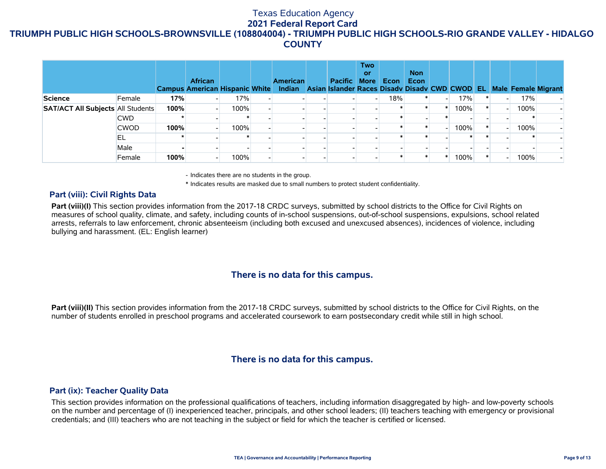|                                          |             |      | <b>African</b><br><b>Campus American Hispanic White</b> |      | <b>American</b> | <b>Pacific</b><br>Indian Asian Islander Races Disady Disady CWD CWOD EL | <b>Two</b><br>or<br><b>More</b> | Econ | <b>Non</b><br>Econ |      |  |      | <b>Male Female Migrant</b> |
|------------------------------------------|-------------|------|---------------------------------------------------------|------|-----------------|-------------------------------------------------------------------------|---------------------------------|------|--------------------|------|--|------|----------------------------|
| <b>Science</b>                           | Female      | 17%  |                                                         | 17%  |                 |                                                                         |                                 | 18%  |                    | 17%  |  | 17%  |                            |
| <b>SAT/ACT All Subjects All Students</b> |             | 100% |                                                         | 100% |                 |                                                                         |                                 |      |                    | 100% |  | 100% |                            |
|                                          | <b>CWD</b>  |      |                                                         |      |                 |                                                                         |                                 |      |                    |      |  |      |                            |
|                                          | <b>CWOD</b> | 100% |                                                         | 100% |                 |                                                                         |                                 |      |                    | 100% |  | 100% |                            |
|                                          | IEL         |      |                                                         |      |                 |                                                                         |                                 |      |                    |      |  |      |                            |
|                                          | Male        |      |                                                         |      |                 |                                                                         |                                 |      |                    |      |  |      |                            |
|                                          | Female      | 100% |                                                         | 100% |                 |                                                                         |                                 |      |                    | 100% |  | 100% |                            |

- Indicates there are no students in the group.

\* Indicates results are masked due to small numbers to protect student confidentiality.

### **Part (viii): Civil Rights Data**

Part (viii)(I) This section provides information from the 2017-18 CRDC surveys, submitted by school districts to the Office for Civil Rights on measures of school quality, climate, and safety, including counts of in-school suspensions, out-of-school suspensions, expulsions, school related arrests, referrals to law enforcement, chronic absenteeism (including both excused and unexcused absences), incidences of violence, including bullying and harassment. (EL: English learner)

# **There is no data for this campus.**

**Part (viii)(II)** This section provides information from the 2017-18 CRDC surveys, submitted by school districts to the Office for Civil Rights, on the number of students enrolled in preschool programs and accelerated coursework to earn postsecondary credit while still in high school.

# **There is no data for this campus.**

### **Part (ix): Teacher Quality Data**

This section provides information on the professional qualifications of teachers, including information disaggregated by high- and low-poverty schools on the number and percentage of (I) inexperienced teacher, principals, and other school leaders; (II) teachers teaching with emergency or provisional credentials; and (III) teachers who are not teaching in the subject or field for which the teacher is certified or licensed.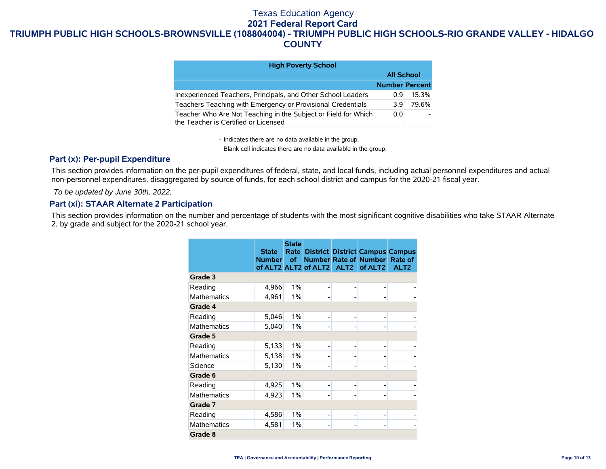| <b>High Poverty School</b>                                                                             |                       |       |
|--------------------------------------------------------------------------------------------------------|-----------------------|-------|
|                                                                                                        | <b>All School</b>     |       |
|                                                                                                        | <b>Number Percent</b> |       |
| Inexperienced Teachers, Principals, and Other School Leaders                                           | 0.9                   | 15.3% |
| Teachers Teaching with Emergency or Provisional Credentials                                            | 39                    | 79.6% |
| Teacher Who Are Not Teaching in the Subject or Field for Which<br>the Teacher is Certified or Licensed | 0.0                   |       |

- Indicates there are no data available in the group.

Blank cell indicates there are no data available in the group.

### **Part (x): Per-pupil Expenditure**

This section provides information on the per-pupil expenditures of federal, state, and local funds, including actual personnel expenditures and actual non-personnel expenditures, disaggregated by source of funds, for each school district and campus for the 2020-21 fiscal year.

 *To be updated by June 30th, 2022.*

## **Part (xi): STAAR Alternate 2 Participation**

This section provides information on the number and percentage of students with the most significant cognitive disabilities who take STAAR Alternate 2, by grade and subject for the 2020-21 school year.

|                    | <b>State</b><br>Number of | <b>State</b> |   | <b>Rate District District Campus Campus</b><br>Number Rate of Number Rate of<br>of ALT2 ALT2 of ALT2 ALT2 of ALT2 | ALT <sub>2</sub> |
|--------------------|---------------------------|--------------|---|-------------------------------------------------------------------------------------------------------------------|------------------|
| Grade 3            |                           |              |   |                                                                                                                   |                  |
| Reading            | 4,966                     | 1%           |   |                                                                                                                   |                  |
| <b>Mathematics</b> | 4,961                     | 1%           |   |                                                                                                                   |                  |
| Grade 4            |                           |              |   |                                                                                                                   |                  |
| Reading            | 5,046                     | 1%           | - |                                                                                                                   |                  |
| <b>Mathematics</b> | 5,040                     | 1%           |   |                                                                                                                   |                  |
| Grade 5            |                           |              |   |                                                                                                                   |                  |
| Reading            | 5,133                     | 1%           | ٠ |                                                                                                                   |                  |
| <b>Mathematics</b> | 5,138                     | 1%           |   |                                                                                                                   |                  |
| Science            | 5,130                     | 1%           |   |                                                                                                                   |                  |
| Grade 6            |                           |              |   |                                                                                                                   |                  |
| Reading            | 4,925                     | 1%           | ٠ |                                                                                                                   |                  |
| <b>Mathematics</b> | 4,923                     | 1%           |   |                                                                                                                   |                  |
| Grade 7            |                           |              |   |                                                                                                                   |                  |
| Reading            | 4,586                     | 1%           | ٠ |                                                                                                                   |                  |
| <b>Mathematics</b> | 4,581                     | 1%           |   |                                                                                                                   |                  |
| Grade 8            |                           |              |   |                                                                                                                   |                  |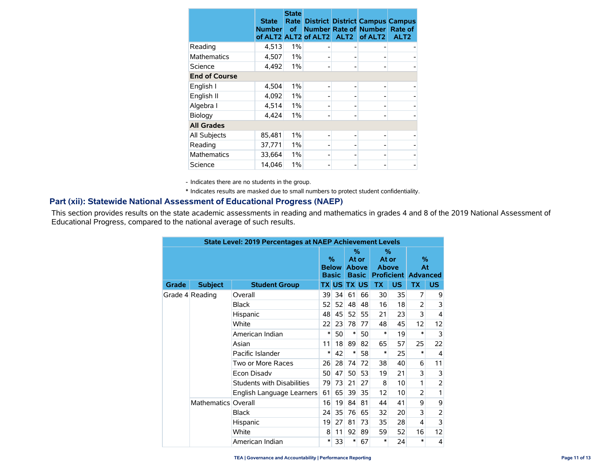|                      | <b>State</b><br><b>Number</b><br>of ALT2 ALT2 | <b>State</b><br>Rate<br><b>of</b> | of ALT2 | ALT <sub>2</sub> | <b>District District Campus Campus</b><br><b>Number Rate of Number</b><br>of ALT <sub>2</sub> | Rate of<br>ALT <sub>2</sub> |
|----------------------|-----------------------------------------------|-----------------------------------|---------|------------------|-----------------------------------------------------------------------------------------------|-----------------------------|
| Reading              | 4,513                                         | 1%                                |         |                  |                                                                                               |                             |
| <b>Mathematics</b>   | 4,507                                         | 1%                                |         |                  |                                                                                               |                             |
| Science              | 4,492                                         | 1%                                |         |                  |                                                                                               |                             |
| <b>End of Course</b> |                                               |                                   |         |                  |                                                                                               |                             |
| English I            | 4,504                                         | 1%                                |         |                  |                                                                                               |                             |
| English II           | 4,092                                         | 1%                                |         |                  |                                                                                               |                             |
| Algebra I            | 4,514                                         | 1%                                |         |                  |                                                                                               |                             |
| Biology              | 4,424                                         | 1%                                |         |                  |                                                                                               |                             |
| <b>All Grades</b>    |                                               |                                   |         |                  |                                                                                               |                             |
| All Subjects         | 85,481                                        | 1%                                |         |                  |                                                                                               |                             |
| Reading              | 37,771                                        | 1%                                |         |                  |                                                                                               |                             |
| <b>Mathematics</b>   | 33,664                                        | 1%                                |         |                  |                                                                                               |                             |
| Science              | 14,046                                        | 1%                                |         |                  |                                                                                               |                             |

- Indicates there are no students in the group.

\* Indicates results are masked due to small numbers to protect student confidentiality.

### **Part (xii): Statewide National Assessment of Educational Progress (NAEP)**

This section provides results on the state academic assessments in reading and mathematics in grades 4 and 8 of the 2019 National Assessment of Educational Progress, compared to the national average of such results.

| <b>State Level: 2019 Percentages at NAEP Achievement Levels</b> |                     |                                               |    |                                               |        |                                                          |           |           |           |                |
|-----------------------------------------------------------------|---------------------|-----------------------------------------------|----|-----------------------------------------------|--------|----------------------------------------------------------|-----------|-----------|-----------|----------------|
|                                                                 |                     | $\frac{0}{2}$<br><b>Below</b><br><b>Basic</b> |    | $\%$<br>At or<br><b>Above</b><br><b>Basic</b> |        | %<br>At or<br><b>Above</b><br><b>Proficient Advanced</b> |           | %<br>At   |           |                |
| Grade                                                           | <b>Subject</b>      | <b>Student Group</b>                          |    | <b>TX US</b>                                  |        | <b>TX US</b>                                             | <b>TX</b> | <b>US</b> | <b>TX</b> | <b>US</b>      |
|                                                                 | Grade 4 Reading     | Overall                                       | 39 | 34                                            | 61     | 66                                                       | 30        | 35        | 7         | 9              |
|                                                                 |                     | <b>Black</b>                                  | 52 | 52                                            | 48     | 48                                                       | 16        | 18        | 2         | 3              |
|                                                                 |                     | Hispanic                                      | 48 | 45                                            | 52     | 55                                                       | 21        | 23        | 3         | 4              |
|                                                                 |                     | White                                         | 22 | 23                                            | 78     | 77                                                       | 48        | 45        | 12        | 12             |
|                                                                 |                     | American Indian                               |    | 50                                            | $\ast$ | 50                                                       | $\ast$    | 19        | $\ast$    | 3              |
|                                                                 |                     | Asian                                         | 11 | 18                                            | 89     | 82                                                       | 65        | 57        | 25        | 22             |
|                                                                 |                     | Pacific Islander                              | ∗  | 42                                            | $\ast$ | 58                                                       | $\ast$    | 25        | $\ast$    | 4              |
|                                                                 |                     | Two or More Races                             | 26 | 28                                            | 74     | 72                                                       | 38        | 40        | 6         | 11             |
|                                                                 |                     | Econ Disady                                   | 50 | 47                                            | 50     | 53                                                       | 19        | 21        | 3         | 3              |
|                                                                 |                     | <b>Students with Disabilities</b>             | 79 | 73                                            | 21     | 27                                                       | 8         | 10        | 1         | 2              |
|                                                                 |                     | English Language Learners                     | 61 | 65                                            | 39     | 35                                                       | 12        | 10        | 2         | 1              |
|                                                                 | Mathematics Overall |                                               | 16 | 19                                            | 84     | 81                                                       | 44        | 41        | 9         | 9              |
|                                                                 |                     | Black                                         | 24 | 35                                            | 76     | 65                                                       | 32        | 20        | 3         | $\overline{2}$ |
|                                                                 |                     | Hispanic                                      | 19 | 27                                            | 81     | 73                                                       | 35        | 28        | 4         | 3              |
|                                                                 |                     | White                                         | 8  | 11                                            | 92     | 89                                                       | 59        | 52        | 16        | 12             |
|                                                                 |                     | American Indian                               | ∗  | 33                                            | $\ast$ | 67                                                       | $\ast$    | 24        | $\ast$    | $\overline{4}$ |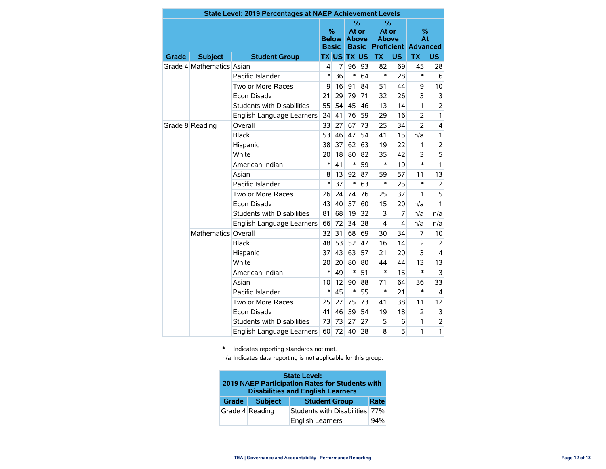| <b>State Level: 2019 Percentages at NAEP Achievement Levels</b> |                           |                                   |                                                                                                                                                                                                                                                                                                                                                                                                                                                                                                |    |                                               |           |                                                             |                         |                |                |  |
|-----------------------------------------------------------------|---------------------------|-----------------------------------|------------------------------------------------------------------------------------------------------------------------------------------------------------------------------------------------------------------------------------------------------------------------------------------------------------------------------------------------------------------------------------------------------------------------------------------------------------------------------------------------|----|-----------------------------------------------|-----------|-------------------------------------------------------------|-------------------------|----------------|----------------|--|
|                                                                 |                           |                                   |                                                                                                                                                                                                                                                                                                                                                                                                                                                                                                |    | $\%$<br>At or<br><b>Above</b><br><b>Basic</b> |           | $\%$<br>At or<br><b>Above</b><br><b>Proficient Advanced</b> |                         | %<br>At        |                |  |
| Grade                                                           | <b>Subject</b>            | <b>Student Group</b>              |                                                                                                                                                                                                                                                                                                                                                                                                                                                                                                |    |                                               | <b>US</b> | <b>TX</b>                                                   | US.                     | <b>TX</b>      | US.            |  |
|                                                                 | Grade 4 Mathematics Asian |                                   | 4                                                                                                                                                                                                                                                                                                                                                                                                                                                                                              | 7  | 96                                            | 93        | 82                                                          | 69                      | 45             | 28             |  |
|                                                                 |                           | Pacific Islander                  | $\ast$                                                                                                                                                                                                                                                                                                                                                                                                                                                                                         |    | $\ast$                                        | 64        | *                                                           | 28                      | $\ast$         | 6              |  |
|                                                                 |                           | Two or More Races                 | 9                                                                                                                                                                                                                                                                                                                                                                                                                                                                                              | 16 | 91                                            | 84        | 51                                                          | 44                      | 9              | 10             |  |
|                                                                 |                           | Econ Disadv                       | 21                                                                                                                                                                                                                                                                                                                                                                                                                                                                                             | 29 | 79                                            | 71        | 32                                                          | 26                      | 3              | 3              |  |
|                                                                 |                           | <b>Students with Disabilities</b> | 55                                                                                                                                                                                                                                                                                                                                                                                                                                                                                             | 54 | 45                                            | 46        | 13                                                          | 14                      | 1              | $\overline{2}$ |  |
|                                                                 |                           | English Language Learners         | %<br><b>Below</b><br><b>Basic</b><br>US TX<br><b>TX</b><br>36<br>24<br>41<br>76<br>33<br>27<br>67<br>53<br>46<br>47<br>38<br>37<br>62<br>18<br>80<br>20<br>$\ast$<br>41<br>$\ast$<br>8<br>13<br>92<br>$\ast$<br>37<br>$\ast$<br>24<br>74<br>26<br>43<br>40<br>57<br>68<br>81<br>19<br>66<br>72<br>34<br>32<br>31<br>68<br>52<br>48<br>53<br>37<br>43<br>63<br>20<br>20<br>80<br>*<br>49<br>∗<br>12<br>10<br>90<br>$\ast$<br>$\ast$<br>45<br>25<br>27<br>75<br>41<br>46<br>59<br>73<br>73<br>27 | 59 | 29                                            | 16        | $\overline{2}$                                              | 1                       |                |                |  |
|                                                                 | Grade 8 Reading           | Overall                           |                                                                                                                                                                                                                                                                                                                                                                                                                                                                                                |    |                                               | 73        | 25                                                          | 34                      | $\overline{2}$ | 4              |  |
|                                                                 |                           | <b>Black</b>                      |                                                                                                                                                                                                                                                                                                                                                                                                                                                                                                |    |                                               | 54        | 41                                                          | 15                      | n/a            | 1              |  |
|                                                                 |                           | Hispanic                          |                                                                                                                                                                                                                                                                                                                                                                                                                                                                                                |    |                                               | 63        | 19                                                          | 22                      | 1              | $\overline{2}$ |  |
|                                                                 | White                     |                                   |                                                                                                                                                                                                                                                                                                                                                                                                                                                                                                |    | 82                                            | 35        | 42                                                          | 3                       | 5              |                |  |
|                                                                 | American Indian           |                                   |                                                                                                                                                                                                                                                                                                                                                                                                                                                                                                |    | 59                                            | *         | 19                                                          | $\ast$                  | 1              |                |  |
|                                                                 | Asian                     |                                   |                                                                                                                                                                                                                                                                                                                                                                                                                                                                                                |    | 87                                            | 59        | 57                                                          | 11                      | 13             |                |  |
|                                                                 |                           | Pacific Islander                  |                                                                                                                                                                                                                                                                                                                                                                                                                                                                                                |    |                                               | 63        | $\ast$                                                      | 25                      | $\ast$         | 2              |  |
|                                                                 |                           | Two or More Races                 |                                                                                                                                                                                                                                                                                                                                                                                                                                                                                                |    |                                               | 76        | 25                                                          | 37                      | 1              | 5              |  |
|                                                                 |                           | <b>Econ Disadv</b>                |                                                                                                                                                                                                                                                                                                                                                                                                                                                                                                |    |                                               | 60        | 15                                                          | 20                      | n/a            | 1              |  |
|                                                                 |                           | Students with Disabilities        |                                                                                                                                                                                                                                                                                                                                                                                                                                                                                                |    |                                               | 32        | 3                                                           | 7                       | n/a            | n/a            |  |
|                                                                 |                           | English Language Learners         |                                                                                                                                                                                                                                                                                                                                                                                                                                                                                                |    |                                               | 28        | $\overline{\mathbf{4}}$                                     | $\overline{\mathbf{4}}$ | n/a            | n/a            |  |
|                                                                 | Mathematics Overall       |                                   |                                                                                                                                                                                                                                                                                                                                                                                                                                                                                                |    |                                               | 69        | 30                                                          | 34                      | 7              | 10             |  |
|                                                                 |                           | <b>Black</b>                      |                                                                                                                                                                                                                                                                                                                                                                                                                                                                                                |    |                                               | 47        | 16                                                          | 14                      | $\overline{2}$ | $\overline{2}$ |  |
|                                                                 |                           | Hispanic                          |                                                                                                                                                                                                                                                                                                                                                                                                                                                                                                |    |                                               | 57        | 21                                                          | 20                      | 3              | $\overline{4}$ |  |
|                                                                 |                           | White                             |                                                                                                                                                                                                                                                                                                                                                                                                                                                                                                |    |                                               | 80        | 44                                                          | 44                      | 13             | 13             |  |
|                                                                 |                           | American Indian                   |                                                                                                                                                                                                                                                                                                                                                                                                                                                                                                |    |                                               | 51        | $\ast$                                                      | 15                      | $\ast$         | 3              |  |
|                                                                 |                           | Asian                             |                                                                                                                                                                                                                                                                                                                                                                                                                                                                                                |    |                                               | 88        | 71                                                          | 64                      | 36             | 33             |  |
|                                                                 |                           | Pacific Islander                  |                                                                                                                                                                                                                                                                                                                                                                                                                                                                                                |    |                                               | 55        | $\ast$                                                      | 21                      | $\ast$         | 4              |  |
|                                                                 |                           | Two or More Races                 |                                                                                                                                                                                                                                                                                                                                                                                                                                                                                                |    |                                               | 73        | 41                                                          | 38                      | 11             | 12             |  |
|                                                                 |                           | <b>Econ Disadv</b>                |                                                                                                                                                                                                                                                                                                                                                                                                                                                                                                |    |                                               | 54        | 19                                                          | 18                      | $\overline{2}$ | 3              |  |
|                                                                 |                           | <b>Students with Disabilities</b> |                                                                                                                                                                                                                                                                                                                                                                                                                                                                                                |    |                                               | 27        | 5                                                           | 6                       | 1              | $\overline{c}$ |  |
|                                                                 |                           | English Language Learners         | 60                                                                                                                                                                                                                                                                                                                                                                                                                                                                                             | 72 | 40                                            | 28        | 8                                                           | 5                       | 1              | 1              |  |

\* Indicates reporting standards not met.

n/a Indicates data reporting is not applicable for this group.

| <b>State Level:</b><br>2019 NAEP Participation Rates for Students with<br><b>Disabilities and English Learners</b> |                 |                                |      |  |  |  |  |  |  |  |
|--------------------------------------------------------------------------------------------------------------------|-----------------|--------------------------------|------|--|--|--|--|--|--|--|
| <b>Grade</b>                                                                                                       | <b>Subject</b>  | <b>Student Group</b>           | Rate |  |  |  |  |  |  |  |
|                                                                                                                    | Grade 4 Reading | Students with Disabilities 77% |      |  |  |  |  |  |  |  |
|                                                                                                                    |                 | <b>English Learners</b>        | 94%  |  |  |  |  |  |  |  |